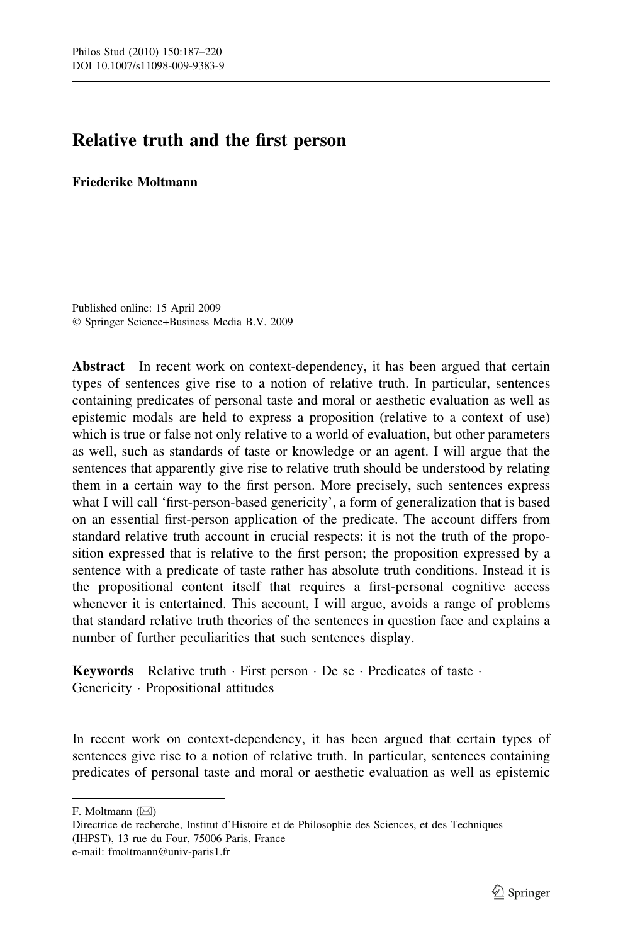# Relative truth and the first person

## Friederike Moltmann

Published online: 15 April 2009 - Springer Science+Business Media B.V. 2009

Abstract In recent work on context-dependency, it has been argued that certain types of sentences give rise to a notion of relative truth. In particular, sentences containing predicates of personal taste and moral or aesthetic evaluation as well as epistemic modals are held to express a proposition (relative to a context of use) which is true or false not only relative to a world of evaluation, but other parameters as well, such as standards of taste or knowledge or an agent. I will argue that the sentences that apparently give rise to relative truth should be understood by relating them in a certain way to the first person. More precisely, such sentences express what I will call 'first-person-based genericity', a form of generalization that is based on an essential first-person application of the predicate. The account differs from standard relative truth account in crucial respects: it is not the truth of the proposition expressed that is relative to the first person; the proposition expressed by a sentence with a predicate of taste rather has absolute truth conditions. Instead it is the propositional content itself that requires a first-personal cognitive access whenever it is entertained. This account, I will argue, avoids a range of problems that standard relative truth theories of the sentences in question face and explains a number of further peculiarities that such sentences display.

Keywords Relative truth · First person · De se · Predicates of taste · Genericity - Propositional attitudes

In recent work on context-dependency, it has been argued that certain types of sentences give rise to a notion of relative truth. In particular, sentences containing predicates of personal taste and moral or aesthetic evaluation as well as epistemic

F. Moltmann  $(\boxtimes)$ 

Directrice de recherche, Institut d'Histoire et de Philosophie des Sciences, et des Techniques (IHPST), 13 rue du Four, 75006 Paris, France e-mail: fmoltmann@univ-paris1.fr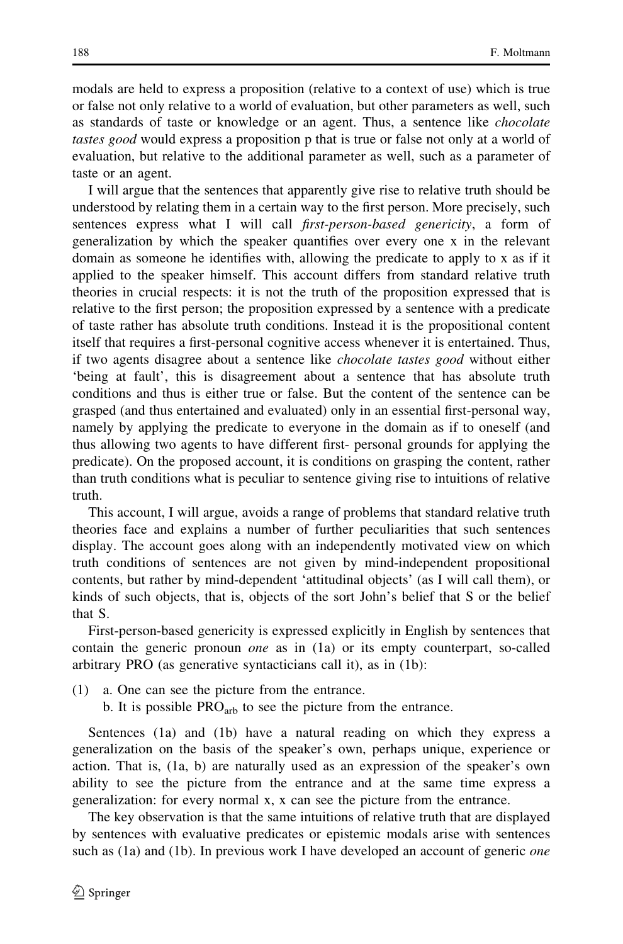modals are held to express a proposition (relative to a context of use) which is true or false not only relative to a world of evaluation, but other parameters as well, such as standards of taste or knowledge or an agent. Thus, a sentence like chocolate tastes good would express a proposition p that is true or false not only at a world of evaluation, but relative to the additional parameter as well, such as a parameter of taste or an agent.

I will argue that the sentences that apparently give rise to relative truth should be understood by relating them in a certain way to the first person. More precisely, such sentences express what I will call first-person-based genericity, a form of generalization by which the speaker quantifies over every one x in the relevant domain as someone he identifies with, allowing the predicate to apply to x as if it applied to the speaker himself. This account differs from standard relative truth theories in crucial respects: it is not the truth of the proposition expressed that is relative to the first person; the proposition expressed by a sentence with a predicate of taste rather has absolute truth conditions. Instead it is the propositional content itself that requires a first-personal cognitive access whenever it is entertained. Thus, if two agents disagree about a sentence like chocolate tastes good without either 'being at fault', this is disagreement about a sentence that has absolute truth conditions and thus is either true or false. But the content of the sentence can be grasped (and thus entertained and evaluated) only in an essential first-personal way, namely by applying the predicate to everyone in the domain as if to oneself (and thus allowing two agents to have different first- personal grounds for applying the predicate). On the proposed account, it is conditions on grasping the content, rather than truth conditions what is peculiar to sentence giving rise to intuitions of relative truth.

This account, I will argue, avoids a range of problems that standard relative truth theories face and explains a number of further peculiarities that such sentences display. The account goes along with an independently motivated view on which truth conditions of sentences are not given by mind-independent propositional contents, but rather by mind-dependent 'attitudinal objects' (as I will call them), or kinds of such objects, that is, objects of the sort John's belief that S or the belief that S.

First-person-based genericity is expressed explicitly in English by sentences that contain the generic pronoun one as in (1a) or its empty counterpart, so-called arbitrary PRO (as generative syntacticians call it), as in (1b):

- (1) a. One can see the picture from the entrance.
	- b. It is possible  $PRO<sub>arb</sub>$  to see the picture from the entrance.

Sentences (1a) and (1b) have a natural reading on which they express a generalization on the basis of the speaker's own, perhaps unique, experience or action. That is, (1a, b) are naturally used as an expression of the speaker's own ability to see the picture from the entrance and at the same time express a generalization: for every normal x, x can see the picture from the entrance.

The key observation is that the same intuitions of relative truth that are displayed by sentences with evaluative predicates or epistemic modals arise with sentences such as (1a) and (1b). In previous work I have developed an account of generic *one*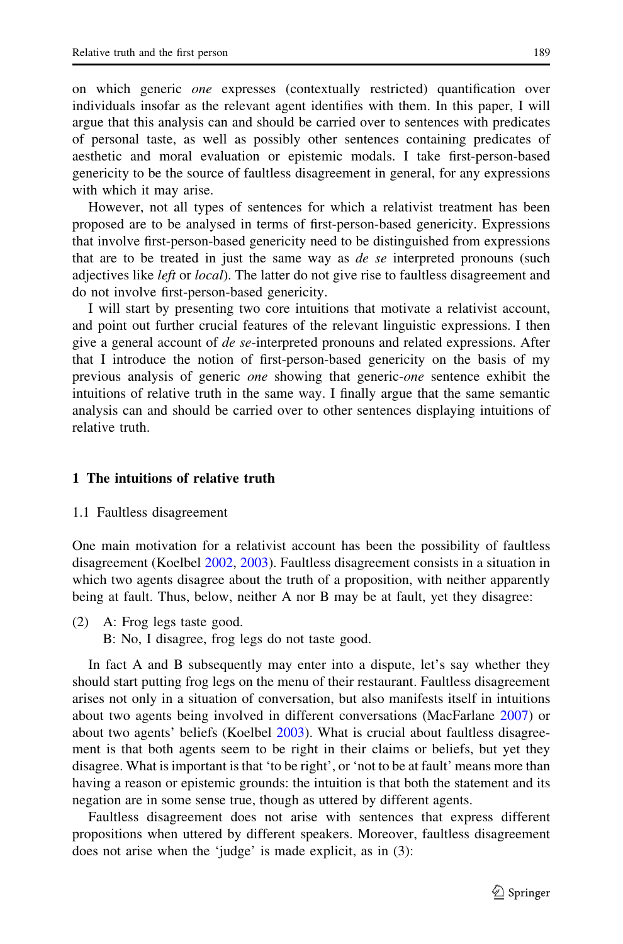on which generic one expresses (contextually restricted) quantification over individuals insofar as the relevant agent identifies with them. In this paper, I will argue that this analysis can and should be carried over to sentences with predicates of personal taste, as well as possibly other sentences containing predicates of aesthetic and moral evaluation or epistemic modals. I take first-person-based genericity to be the source of faultless disagreement in general, for any expressions with which it may arise.

However, not all types of sentences for which a relativist treatment has been proposed are to be analysed in terms of first-person-based genericity. Expressions that involve first-person-based genericity need to be distinguished from expressions that are to be treated in just the same way as *de se* interpreted pronouns (such adjectives like *left* or *local*). The latter do not give rise to faultless disagreement and do not involve first-person-based genericity.

I will start by presenting two core intuitions that motivate a relativist account, and point out further crucial features of the relevant linguistic expressions. I then give a general account of de se-interpreted pronouns and related expressions. After that I introduce the notion of first-person-based genericity on the basis of my previous analysis of generic one showing that generic-one sentence exhibit the intuitions of relative truth in the same way. I finally argue that the same semantic analysis can and should be carried over to other sentences displaying intuitions of relative truth.

## 1 The intuitions of relative truth

#### 1.1 Faultless disagreement

One main motivation for a relativist account has been the possibility of faultless disagreement (Koelbel [2002,](#page-32-0) [2003\)](#page-32-0). Faultless disagreement consists in a situation in which two agents disagree about the truth of a proposition, with neither apparently being at fault. Thus, below, neither A nor B may be at fault, yet they disagree:

(2) A: Frog legs taste good.

B: No, I disagree, frog legs do not taste good.

In fact A and B subsequently may enter into a dispute, let's say whether they should start putting frog legs on the menu of their restaurant. Faultless disagreement arises not only in a situation of conversation, but also manifests itself in intuitions about two agents being involved in different conversations (MacFarlane [2007\)](#page-32-0) or about two agents' beliefs (Koelbel [2003](#page-32-0)). What is crucial about faultless disagreement is that both agents seem to be right in their claims or beliefs, but yet they disagree. What is important is that 'to be right', or 'not to be at fault' means more than having a reason or epistemic grounds: the intuition is that both the statement and its negation are in some sense true, though as uttered by different agents.

Faultless disagreement does not arise with sentences that express different propositions when uttered by different speakers. Moreover, faultless disagreement does not arise when the 'judge' is made explicit, as in (3):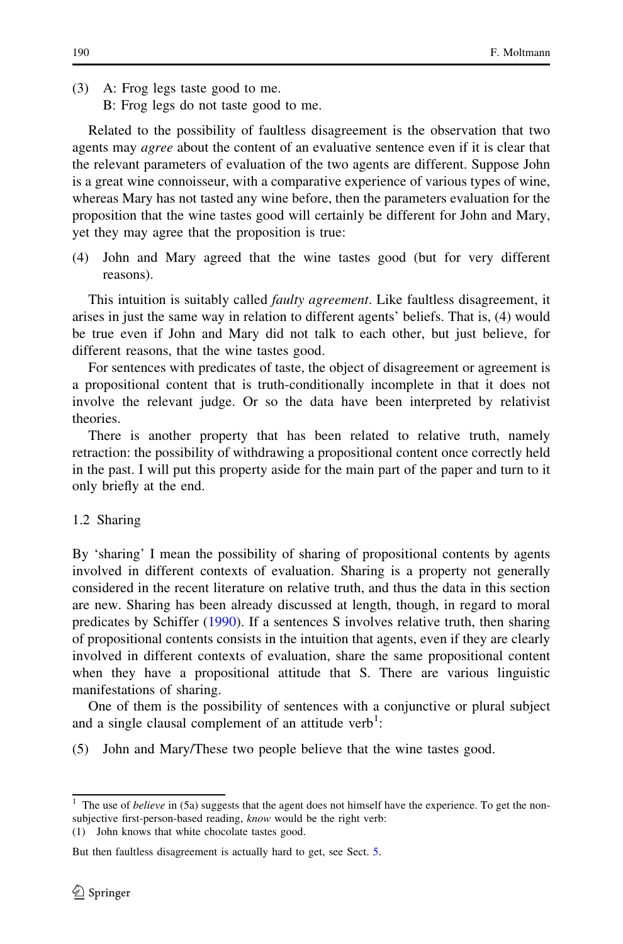(3) A: Frog legs taste good to me. B: Frog legs do not taste good to me.

Related to the possibility of faultless disagreement is the observation that two agents may agree about the content of an evaluative sentence even if it is clear that the relevant parameters of evaluation of the two agents are different. Suppose John is a great wine connoisseur, with a comparative experience of various types of wine, whereas Mary has not tasted any wine before, then the parameters evaluation for the proposition that the wine tastes good will certainly be different for John and Mary, yet they may agree that the proposition is true:

(4) John and Mary agreed that the wine tastes good (but for very different reasons).

This intuition is suitably called *faulty agreement*. Like faultless disagreement, it arises in just the same way in relation to different agents' beliefs. That is, (4) would be true even if John and Mary did not talk to each other, but just believe, for different reasons, that the wine tastes good.

For sentences with predicates of taste, the object of disagreement or agreement is a propositional content that is truth-conditionally incomplete in that it does not involve the relevant judge. Or so the data have been interpreted by relativist theories.

There is another property that has been related to relative truth, namely retraction: the possibility of withdrawing a propositional content once correctly held in the past. I will put this property aside for the main part of the paper and turn to it only briefly at the end.

## 1.2 Sharing

By 'sharing' I mean the possibility of sharing of propositional contents by agents involved in different contexts of evaluation. Sharing is a property not generally considered in the recent literature on relative truth, and thus the data in this section are new. Sharing has been already discussed at length, though, in regard to moral predicates by Schiffer ([1990\)](#page-33-0). If a sentences S involves relative truth, then sharing of propositional contents consists in the intuition that agents, even if they are clearly involved in different contexts of evaluation, share the same propositional content when they have a propositional attitude that S. There are various linguistic manifestations of sharing.

One of them is the possibility of sentences with a conjunctive or plural subject and a single clausal complement of an attitude verb<sup>1</sup>:

(5) John and Mary/These two people believe that the wine tastes good.

 $1$  The use of *believe* in (5a) suggests that the agent does not himself have the experience. To get the nonsubjective first-person-based reading, know would be the right verb:

<sup>(1)</sup> John knows that white chocolate tastes good.

But then faultless disagreement is actually hard to get, see Sect. [5](#page-13-0).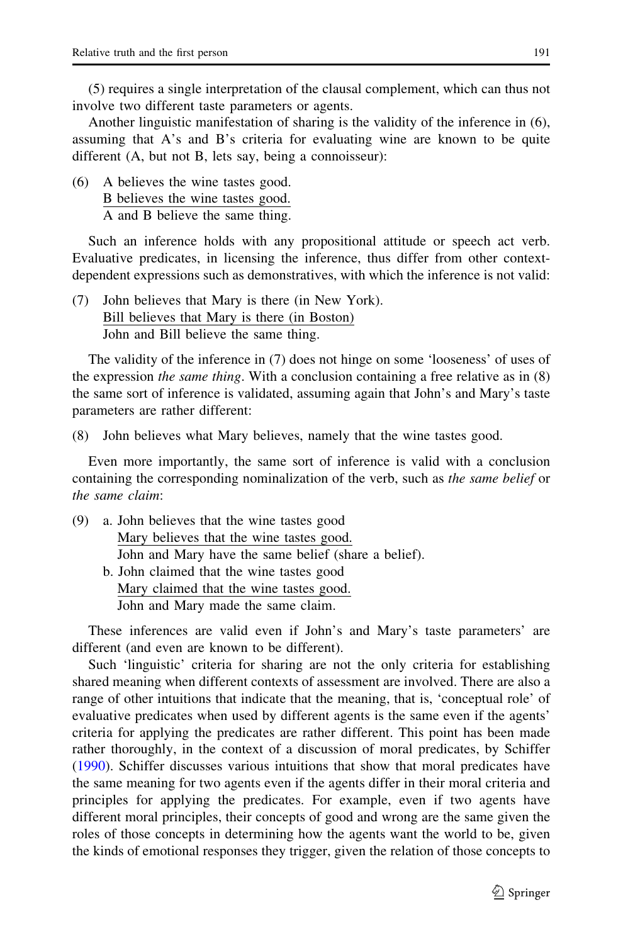(5) requires a single interpretation of the clausal complement, which can thus not involve two different taste parameters or agents.

Another linguistic manifestation of sharing is the validity of the inference in (6), assuming that A's and B's criteria for evaluating wine are known to be quite different (A, but not B, lets say, being a connoisseur):

(6) A believes the wine tastes good. B believes the wine tastes good. A and B believe the same thing.

Such an inference holds with any propositional attitude or speech act verb. Evaluative predicates, in licensing the inference, thus differ from other contextdependent expressions such as demonstratives, with which the inference is not valid:

(7) John believes that Mary is there (in New York). Bill believes that Mary is there (in Boston) John and Bill believe the same thing.

The validity of the inference in (7) does not hinge on some 'looseness' of uses of the expression *the same thing*. With a conclusion containing a free relative as in (8) the same sort of inference is validated, assuming again that John's and Mary's taste parameters are rather different:

(8) John believes what Mary believes, namely that the wine tastes good.

Even more importantly, the same sort of inference is valid with a conclusion containing the corresponding nominalization of the verb, such as the same belief or the same claim:

| (9) | a. John believes that the wine tastes good           |
|-----|------------------------------------------------------|
|     | Mary believes that the wine tastes good.             |
|     | John and Mary have the same belief (share a belief). |
|     | b. John claimed that the wine tastes good            |
|     | Mary claimed that the wine tastes good.              |
|     | John and Mary made the same claim.                   |

These inferences are valid even if John's and Mary's taste parameters' are different (and even are known to be different).

Such 'linguistic' criteria for sharing are not the only criteria for establishing shared meaning when different contexts of assessment are involved. There are also a range of other intuitions that indicate that the meaning, that is, 'conceptual role' of evaluative predicates when used by different agents is the same even if the agents' criteria for applying the predicates are rather different. This point has been made rather thoroughly, in the context of a discussion of moral predicates, by Schiffer [\(1990](#page-33-0)). Schiffer discusses various intuitions that show that moral predicates have the same meaning for two agents even if the agents differ in their moral criteria and principles for applying the predicates. For example, even if two agents have different moral principles, their concepts of good and wrong are the same given the roles of those concepts in determining how the agents want the world to be, given the kinds of emotional responses they trigger, given the relation of those concepts to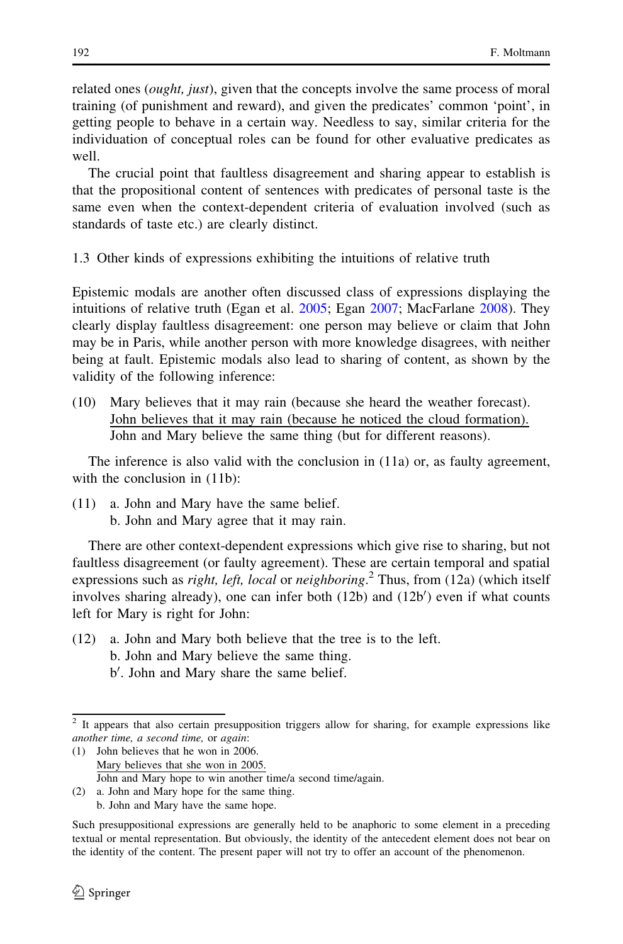related ones (*ought, just*), given that the concepts involve the same process of moral training (of punishment and reward), and given the predicates' common 'point', in getting people to behave in a certain way. Needless to say, similar criteria for the individuation of conceptual roles can be found for other evaluative predicates as well.

The crucial point that faultless disagreement and sharing appear to establish is that the propositional content of sentences with predicates of personal taste is the same even when the context-dependent criteria of evaluation involved (such as standards of taste etc.) are clearly distinct.

1.3 Other kinds of expressions exhibiting the intuitions of relative truth

Epistemic modals are another often discussed class of expressions displaying the intuitions of relative truth (Egan et al. [2005;](#page-32-0) Egan [2007](#page-32-0); MacFarlane [2008\)](#page-32-0). They clearly display faultless disagreement: one person may believe or claim that John may be in Paris, while another person with more knowledge disagrees, with neither being at fault. Epistemic modals also lead to sharing of content, as shown by the validity of the following inference:

(10) Mary believes that it may rain (because she heard the weather forecast). John believes that it may rain (because he noticed the cloud formation). John and Mary believe the same thing (but for different reasons).

The inference is also valid with the conclusion in (11a) or, as faulty agreement, with the conclusion in  $(11b)$ :

(11) a. John and Mary have the same belief. b. John and Mary agree that it may rain.

There are other context-dependent expressions which give rise to sharing, but not faultless disagreement (or faulty agreement). These are certain temporal and spatial expressions such as *right, left, local* or *neighboring*.<sup>2</sup> Thus, from (12a) (which itself involves sharing already), one can infer both (12b) and (12b') even if what counts left for Mary is right for John:

(12) a. John and Mary both believe that the tree is to the left. b. John and Mary believe the same thing. b'. John and Mary share the same belief.

(1) John believes that he won in 2006. Mary believes that she won in 2005. John and Mary hope to win another time/a second time/again.

<sup>&</sup>lt;sup>2</sup> It appears that also certain presupposition triggers allow for sharing, for example expressions like another time, a second time, or again:

<sup>(2)</sup> a. John and Mary hope for the same thing. b. John and Mary have the same hope.

Such presuppositional expressions are generally held to be anaphoric to some element in a preceding textual or mental representation. But obviously, the identity of the antecedent element does not bear on the identity of the content. The present paper will not try to offer an account of the phenomenon.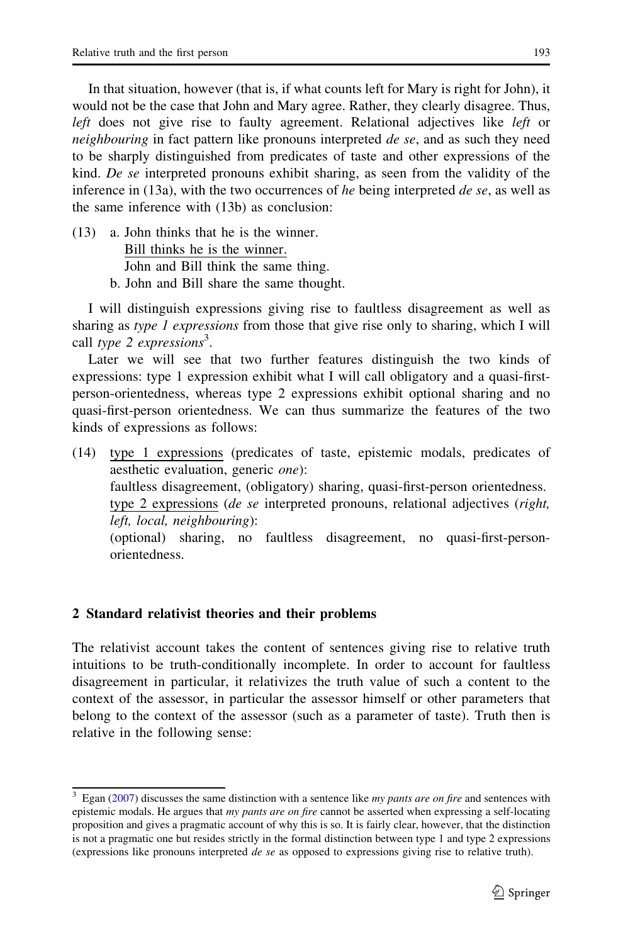In that situation, however (that is, if what counts left for Mary is right for John), it would not be the case that John and Mary agree. Rather, they clearly disagree. Thus, left does not give rise to faulty agreement. Relational adjectives like left or neighbouring in fact pattern like pronouns interpreted de se, and as such they need to be sharply distinguished from predicates of taste and other expressions of the kind. De se interpreted pronouns exhibit sharing, as seen from the validity of the inference in (13a), with the two occurrences of he being interpreted de se, as well as the same inference with (13b) as conclusion:

(13) a. John thinks that he is the winner. Bill thinks he is the winner. John and Bill think the same thing. b. John and Bill share the same thought.

I will distinguish expressions giving rise to faultless disagreement as well as sharing as type 1 expressions from those that give rise only to sharing, which I will call type 2 expressions<sup>3</sup>.

Later we will see that two further features distinguish the two kinds of expressions: type 1 expression exhibit what I will call obligatory and a quasi-firstperson-orientedness, whereas type 2 expressions exhibit optional sharing and no quasi-first-person orientedness. We can thus summarize the features of the two kinds of expressions as follows:

(14) type 1 expressions (predicates of taste, epistemic modals, predicates of aesthetic evaluation, generic one):

faultless disagreement, (obligatory) sharing, quasi-first-person orientedness. type 2 expressions (de se interpreted pronouns, relational adjectives (right, left, local, neighbouring):

(optional) sharing, no faultless disagreement, no quasi-first-personorientedness.

# 2 Standard relativist theories and their problems

The relativist account takes the content of sentences giving rise to relative truth intuitions to be truth-conditionally incomplete. In order to account for faultless disagreement in particular, it relativizes the truth value of such a content to the context of the assessor, in particular the assessor himself or other parameters that belong to the context of the assessor (such as a parameter of taste). Truth then is relative in the following sense:

 $3$  Egan [\(2007\)](#page-32-0) discusses the same distinction with a sentence like my pants are on fire and sentences with epistemic modals. He argues that *my pants are on fire* cannot be asserted when expressing a self-locating proposition and gives a pragmatic account of why this is so. It is fairly clear, however, that the distinction is not a pragmatic one but resides strictly in the formal distinction between type 1 and type 2 expressions (expressions like pronouns interpreted de se as opposed to expressions giving rise to relative truth).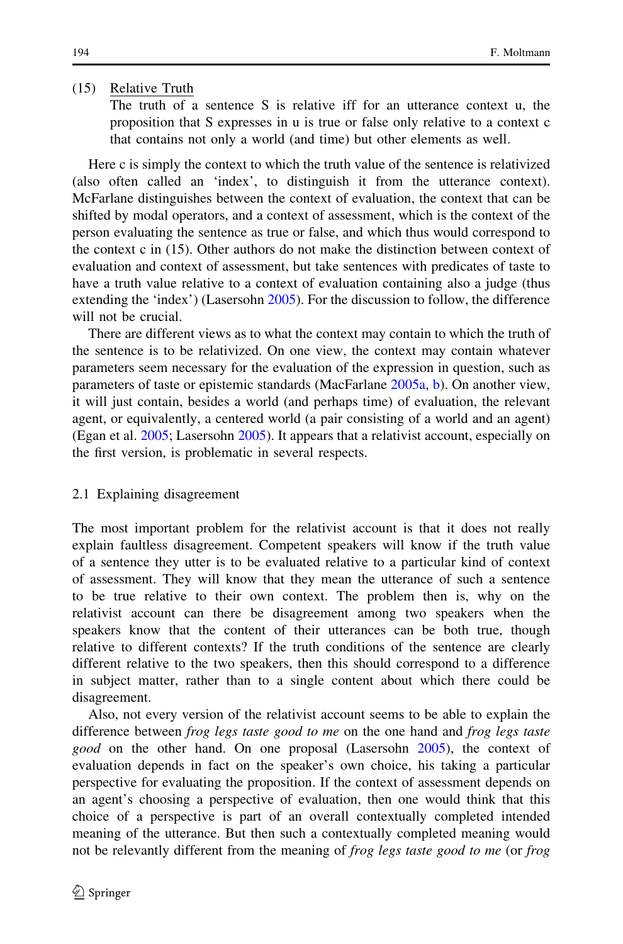## (15) Relative Truth

The truth of a sentence S is relative iff for an utterance context u, the proposition that S expresses in u is true or false only relative to a context c that contains not only a world (and time) but other elements as well.

Here c is simply the context to which the truth value of the sentence is relativized (also often called an 'index', to distinguish it from the utterance context). McFarlane distinguishes between the context of evaluation, the context that can be shifted by modal operators, and a context of assessment, which is the context of the person evaluating the sentence as true or false, and which thus would correspond to the context c in (15). Other authors do not make the distinction between context of evaluation and context of assessment, but take sentences with predicates of taste to have a truth value relative to a context of evaluation containing also a judge (thus extending the 'index') (Lasersohn [2005\)](#page-32-0). For the discussion to follow, the difference will not be crucial.

There are different views as to what the context may contain to which the truth of the sentence is to be relativized. On one view, the context may contain whatever parameters seem necessary for the evaluation of the expression in question, such as parameters of taste or epistemic standards (MacFarlane [2005a](#page-32-0), [b](#page-32-0)). On another view, it will just contain, besides a world (and perhaps time) of evaluation, the relevant agent, or equivalently, a centered world (a pair consisting of a world and an agent) (Egan et al. [2005](#page-32-0); Lasersohn [2005\)](#page-32-0). It appears that a relativist account, especially on the first version, is problematic in several respects.

#### 2.1 Explaining disagreement

The most important problem for the relativist account is that it does not really explain faultless disagreement. Competent speakers will know if the truth value of a sentence they utter is to be evaluated relative to a particular kind of context of assessment. They will know that they mean the utterance of such a sentence to be true relative to their own context. The problem then is, why on the relativist account can there be disagreement among two speakers when the speakers know that the content of their utterances can be both true, though relative to different contexts? If the truth conditions of the sentence are clearly different relative to the two speakers, then this should correspond to a difference in subject matter, rather than to a single content about which there could be disagreement.

Also, not every version of the relativist account seems to be able to explain the difference between *frog legs taste good to me* on the one hand and *frog legs taste* good on the other hand. On one proposal (Lasersohn [2005\)](#page-32-0), the context of evaluation depends in fact on the speaker's own choice, his taking a particular perspective for evaluating the proposition. If the context of assessment depends on an agent's choosing a perspective of evaluation, then one would think that this choice of a perspective is part of an overall contextually completed intended meaning of the utterance. But then such a contextually completed meaning would not be relevantly different from the meaning of frog legs taste good to me (or frog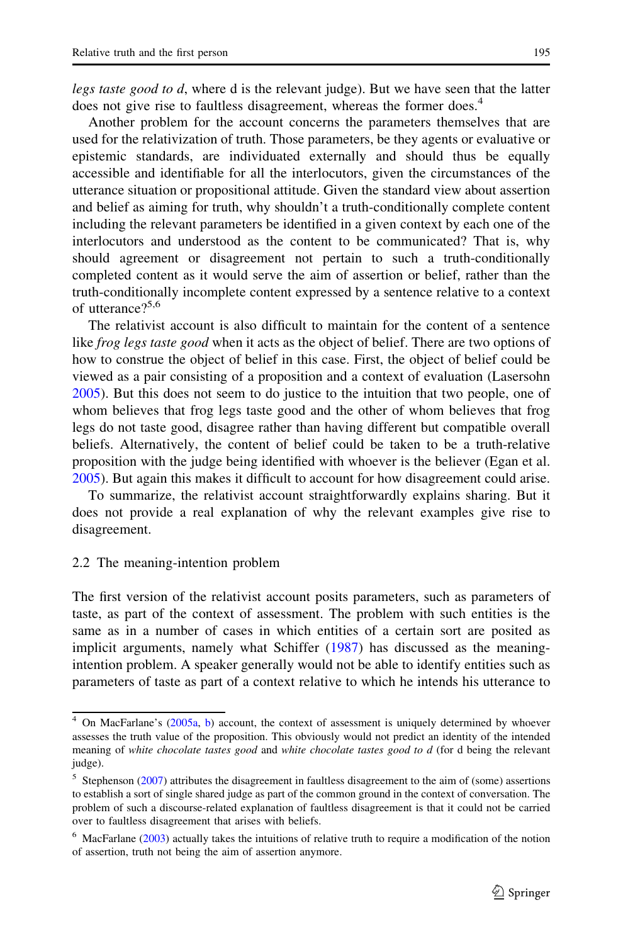legs taste good to d, where d is the relevant judge). But we have seen that the latter does not give rise to faultless disagreement, whereas the former does.<sup>4</sup>

Another problem for the account concerns the parameters themselves that are used for the relativization of truth. Those parameters, be they agents or evaluative or epistemic standards, are individuated externally and should thus be equally accessible and identifiable for all the interlocutors, given the circumstances of the utterance situation or propositional attitude. Given the standard view about assertion and belief as aiming for truth, why shouldn't a truth-conditionally complete content including the relevant parameters be identified in a given context by each one of the interlocutors and understood as the content to be communicated? That is, why should agreement or disagreement not pertain to such a truth-conditionally completed content as it would serve the aim of assertion or belief, rather than the truth-conditionally incomplete content expressed by a sentence relative to a context of utterance?<sup>5,6</sup>

The relativist account is also difficult to maintain for the content of a sentence like *frog legs taste good* when it acts as the object of belief. There are two options of how to construe the object of belief in this case. First, the object of belief could be viewed as a pair consisting of a proposition and a context of evaluation (Lasersohn [2005\)](#page-32-0). But this does not seem to do justice to the intuition that two people, one of whom believes that frog legs taste good and the other of whom believes that frog legs do not taste good, disagree rather than having different but compatible overall beliefs. Alternatively, the content of belief could be taken to be a truth-relative proposition with the judge being identified with whoever is the believer (Egan et al. [2005\)](#page-32-0). But again this makes it difficult to account for how disagreement could arise.

To summarize, the relativist account straightforwardly explains sharing. But it does not provide a real explanation of why the relevant examples give rise to disagreement.

#### 2.2 The meaning-intention problem

The first version of the relativist account posits parameters, such as parameters of taste, as part of the context of assessment. The problem with such entities is the same as in a number of cases in which entities of a certain sort are posited as implicit arguments, namely what Schiffer [\(1987](#page-32-0)) has discussed as the meaningintention problem. A speaker generally would not be able to identify entities such as parameters of taste as part of a context relative to which he intends his utterance to

<sup>4</sup> On MacFarlane's [\(2005a,](#page-32-0) [b\)](#page-32-0) account, the context of assessment is uniquely determined by whoever assesses the truth value of the proposition. This obviously would not predict an identity of the intended meaning of white chocolate tastes good and white chocolate tastes good to d (for d being the relevant judge).

 $5$  Stephenson [\(2007](#page-33-0)) attributes the disagreement in faultless disagreement to the aim of (some) assertions to establish a sort of single shared judge as part of the common ground in the context of conversation. The problem of such a discourse-related explanation of faultless disagreement is that it could not be carried over to faultless disagreement that arises with beliefs.

 $6$  MacFarlane [\(2003\)](#page-32-0) actually takes the intuitions of relative truth to require a modification of the notion of assertion, truth not being the aim of assertion anymore.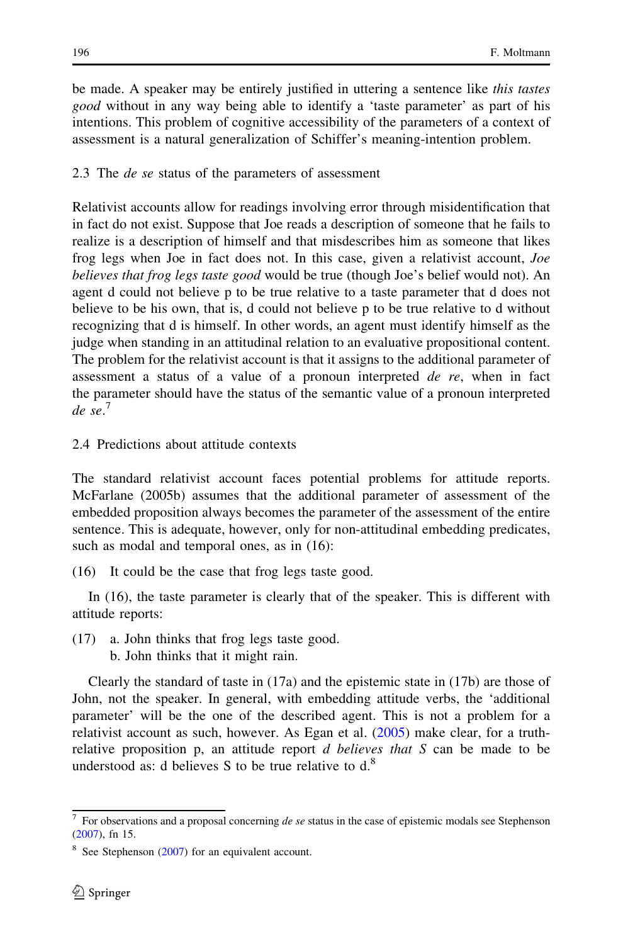be made. A speaker may be entirely justified in uttering a sentence like *this tastes* good without in any way being able to identify a 'taste parameter' as part of his intentions. This problem of cognitive accessibility of the parameters of a context of assessment is a natural generalization of Schiffer's meaning-intention problem.

# 2.3 The *de se* status of the parameters of assessment

Relativist accounts allow for readings involving error through misidentification that in fact do not exist. Suppose that Joe reads a description of someone that he fails to realize is a description of himself and that misdescribes him as someone that likes frog legs when Joe in fact does not. In this case, given a relativist account, Joe believes that frog legs taste good would be true (though Joe's belief would not). An agent d could not believe p to be true relative to a taste parameter that d does not believe to be his own, that is, d could not believe p to be true relative to d without recognizing that d is himself. In other words, an agent must identify himself as the judge when standing in an attitudinal relation to an evaluative propositional content. The problem for the relativist account is that it assigns to the additional parameter of assessment a status of a value of a pronoun interpreted de re, when in fact the parameter should have the status of the semantic value of a pronoun interpreted de se. 7

2.4 Predictions about attitude contexts

The standard relativist account faces potential problems for attitude reports. McFarlane (2005b) assumes that the additional parameter of assessment of the embedded proposition always becomes the parameter of the assessment of the entire sentence. This is adequate, however, only for non-attitudinal embedding predicates, such as modal and temporal ones, as in (16):

(16) It could be the case that frog legs taste good.

In (16), the taste parameter is clearly that of the speaker. This is different with attitude reports:

(17) a. John thinks that frog legs taste good. b. John thinks that it might rain.

Clearly the standard of taste in (17a) and the epistemic state in (17b) are those of John, not the speaker. In general, with embedding attitude verbs, the 'additional parameter' will be the one of the described agent. This is not a problem for a relativist account as such, however. As Egan et al. ([2005\)](#page-32-0) make clear, for a truthrelative proposition  $p$ , an attitude report  $d$  believes that  $S$  can be made to be understood as: d believes S to be true relative to  $d<sup>8</sup>$ 

 $7$  For observations and a proposal concerning de se status in the case of epistemic modals see Stephenson ([2007\)](#page-33-0), fn 15.

 $8$  See Stephenson [\(2007\)](#page-33-0) for an equivalent account.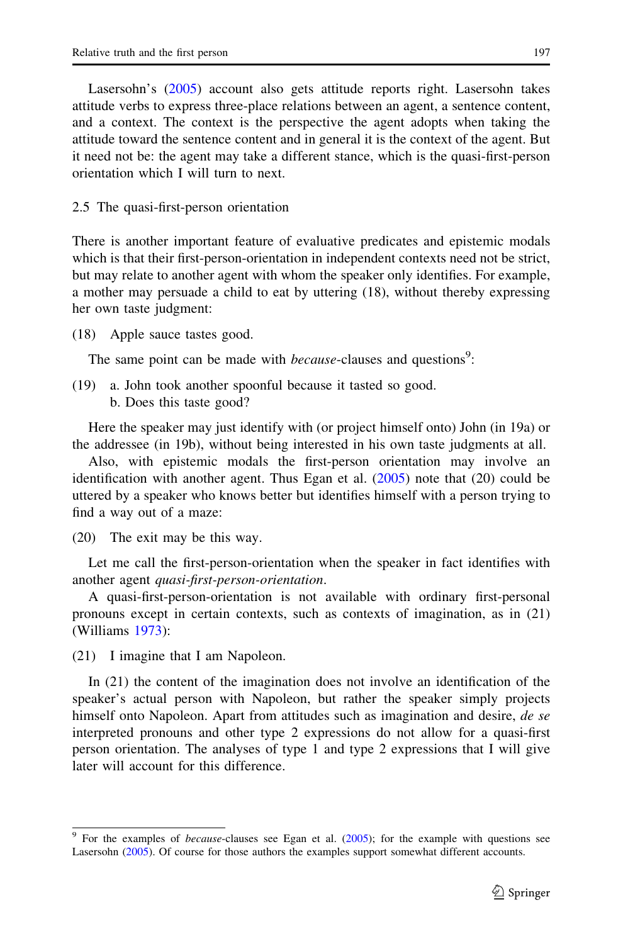Lasersohn's [\(2005](#page-32-0)) account also gets attitude reports right. Lasersohn takes attitude verbs to express three-place relations between an agent, a sentence content, and a context. The context is the perspective the agent adopts when taking the attitude toward the sentence content and in general it is the context of the agent. But it need not be: the agent may take a different stance, which is the quasi-first-person orientation which I will turn to next.

2.5 The quasi-first-person orientation

There is another important feature of evaluative predicates and epistemic modals which is that their first-person-orientation in independent contexts need not be strict, but may relate to another agent with whom the speaker only identifies. For example, a mother may persuade a child to eat by uttering (18), without thereby expressing her own taste judgment:

(18) Apple sauce tastes good.

The same point can be made with *because*-clauses and questions<sup>9</sup>:

(19) a. John took another spoonful because it tasted so good. b. Does this taste good?

Here the speaker may just identify with (or project himself onto) John (in 19a) or the addressee (in 19b), without being interested in his own taste judgments at all.

Also, with epistemic modals the first-person orientation may involve an identification with another agent. Thus Egan et al. [\(2005](#page-32-0)) note that (20) could be uttered by a speaker who knows better but identifies himself with a person trying to find a way out of a maze:

(20) The exit may be this way.

Let me call the first-person-orientation when the speaker in fact identifies with another agent quasi-first-person-orientation.

A quasi-first-person-orientation is not available with ordinary first-personal pronouns except in certain contexts, such as contexts of imagination, as in (21) (Williams [1973](#page-33-0)):

(21) I imagine that I am Napoleon.

In (21) the content of the imagination does not involve an identification of the speaker's actual person with Napoleon, but rather the speaker simply projects himself onto Napoleon. Apart from attitudes such as imagination and desire, de se interpreted pronouns and other type 2 expressions do not allow for a quasi-first person orientation. The analyses of type 1 and type 2 expressions that I will give later will account for this difference.

<sup>&</sup>lt;sup>9</sup> For the examples of *because*-clauses see Egan et al. [\(2005\)](#page-32-0); for the example with questions see Lasersohn [\(2005\)](#page-32-0). Of course for those authors the examples support somewhat different accounts.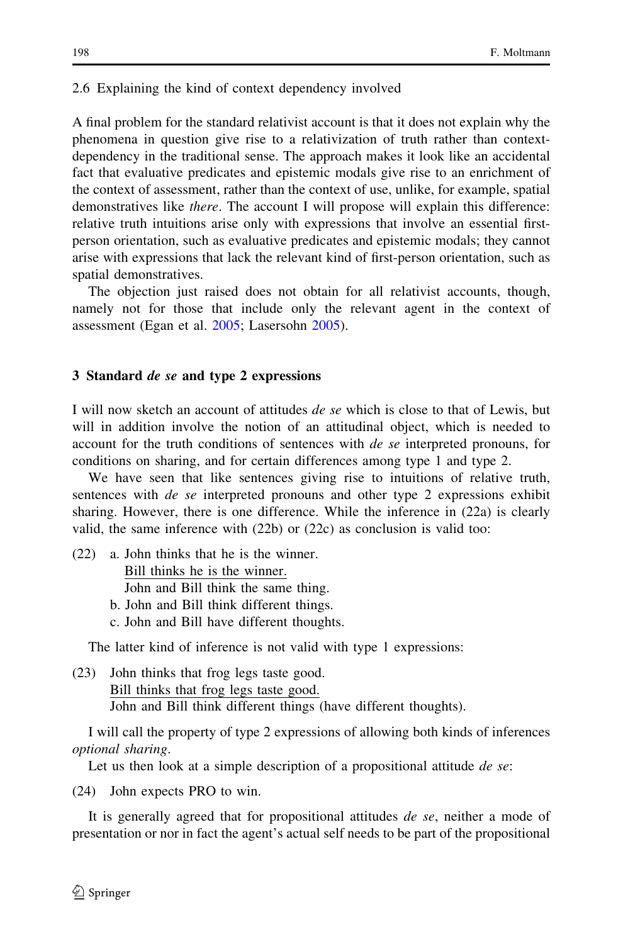#### 2.6 Explaining the kind of context dependency involved

A final problem for the standard relativist account is that it does not explain why the phenomena in question give rise to a relativization of truth rather than contextdependency in the traditional sense. The approach makes it look like an accidental fact that evaluative predicates and epistemic modals give rise to an enrichment of the context of assessment, rather than the context of use, unlike, for example, spatial demonstratives like there. The account I will propose will explain this difference: relative truth intuitions arise only with expressions that involve an essential firstperson orientation, such as evaluative predicates and epistemic modals; they cannot arise with expressions that lack the relevant kind of first-person orientation, such as spatial demonstratives.

The objection just raised does not obtain for all relativist accounts, though, namely not for those that include only the relevant agent in the context of assessment (Egan et al. [2005;](#page-32-0) Lasersohn [2005](#page-32-0)).

#### 3 Standard de se and type 2 expressions

I will now sketch an account of attitudes *de se* which is close to that of Lewis, but will in addition involve the notion of an attitudinal object, which is needed to account for the truth conditions of sentences with de se interpreted pronouns, for conditions on sharing, and for certain differences among type 1 and type 2.

We have seen that like sentences giving rise to intuitions of relative truth, sentences with *de se* interpreted pronouns and other type 2 expressions exhibit sharing. However, there is one difference. While the inference in (22a) is clearly valid, the same inference with (22b) or (22c) as conclusion is valid too:

- (22) a. John thinks that he is the winner. Bill thinks he is the winner. John and Bill think the same thing. b. John and Bill think different things.
	- c. John and Bill have different thoughts.

The latter kind of inference is not valid with type 1 expressions:

(23) John thinks that frog legs taste good. Bill thinks that frog legs taste good. John and Bill think different things (have different thoughts).

I will call the property of type 2 expressions of allowing both kinds of inferences optional sharing.

Let us then look at a simple description of a propositional attitude *de se*:

(24) John expects PRO to win.

It is generally agreed that for propositional attitudes de se, neither a mode of presentation or nor in fact the agent's actual self needs to be part of the propositional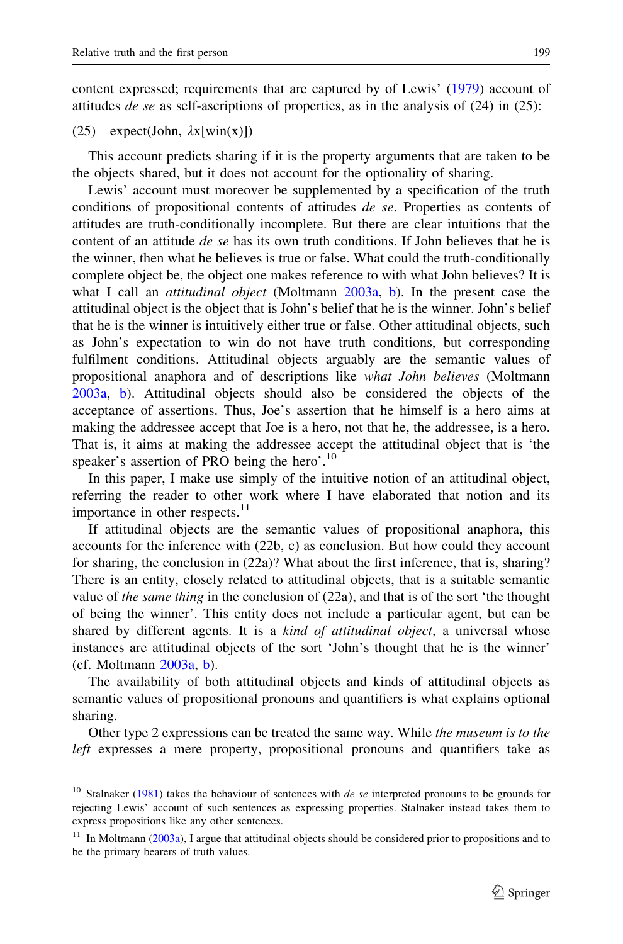content expressed; requirements that are captured by of Lewis' [\(1979](#page-32-0)) account of attitudes *de se* as self-ascriptions of properties, as in the analysis of  $(24)$  in  $(25)$ :

```
(25) expect(John, \lambda x[win(x)])
```
This account predicts sharing if it is the property arguments that are taken to be the objects shared, but it does not account for the optionality of sharing.

Lewis' account must moreover be supplemented by a specification of the truth conditions of propositional contents of attitudes de se. Properties as contents of attitudes are truth-conditionally incomplete. But there are clear intuitions that the content of an attitude *de se* has its own truth conditions. If John believes that he is the winner, then what he believes is true or false. What could the truth-conditionally complete object be, the object one makes reference to with what John believes? It is what I call an *attitudinal o[b](#page-32-0)ject* (Moltmann  $2003a$ , b). In the present case the attitudinal object is the object that is John's belief that he is the winner. John's belief that he is the winner is intuitively either true or false. Other attitudinal objects, such as John's expectation to win do not have truth conditions, but corresponding fulfilment conditions. Attitudinal objects arguably are the semantic values of propositional anaphora and of descriptions like what John believes (Moltmann [2003a](#page-32-0), [b](#page-32-0)). Attitudinal objects should also be considered the objects of the acceptance of assertions. Thus, Joe's assertion that he himself is a hero aims at making the addressee accept that Joe is a hero, not that he, the addressee, is a hero. That is, it aims at making the addressee accept the attitudinal object that is 'the speaker's assertion of PRO being the hero'. $^{10}$ 

In this paper, I make use simply of the intuitive notion of an attitudinal object, referring the reader to other work where I have elaborated that notion and its importance in other respects.<sup>11</sup>

If attitudinal objects are the semantic values of propositional anaphora, this accounts for the inference with (22b, c) as conclusion. But how could they account for sharing, the conclusion in (22a)? What about the first inference, that is, sharing? There is an entity, closely related to attitudinal objects, that is a suitable semantic value of the same thing in the conclusion of  $(22a)$ , and that is of the sort 'the thought of being the winner'. This entity does not include a particular agent, but can be shared by different agents. It is a kind of attitudinal object, a universal whose instances are attitudinal objects of the sort 'John's thought that he is the winner'  $(cf. Moltmann 2003a, b).$  $(cf. Moltmann 2003a, b).$  $(cf. Moltmann 2003a, b).$  $(cf. Moltmann 2003a, b).$  $(cf. Moltmann 2003a, b).$ 

The availability of both attitudinal objects and kinds of attitudinal objects as semantic values of propositional pronouns and quantifiers is what explains optional sharing.

Other type 2 expressions can be treated the same way. While the museum is to the left expresses a mere property, propositional pronouns and quantifiers take as

<sup>&</sup>lt;sup>10</sup> Stalnaker [\(1981](#page-33-0)) takes the behaviour of sentences with *de se* interpreted pronouns to be grounds for rejecting Lewis' account of such sentences as expressing properties. Stalnaker instead takes them to express propositions like any other sentences.

<sup>&</sup>lt;sup>11</sup> In Moltmann ([2003a](#page-32-0)), I argue that attitudinal objects should be considered prior to propositions and to be the primary bearers of truth values.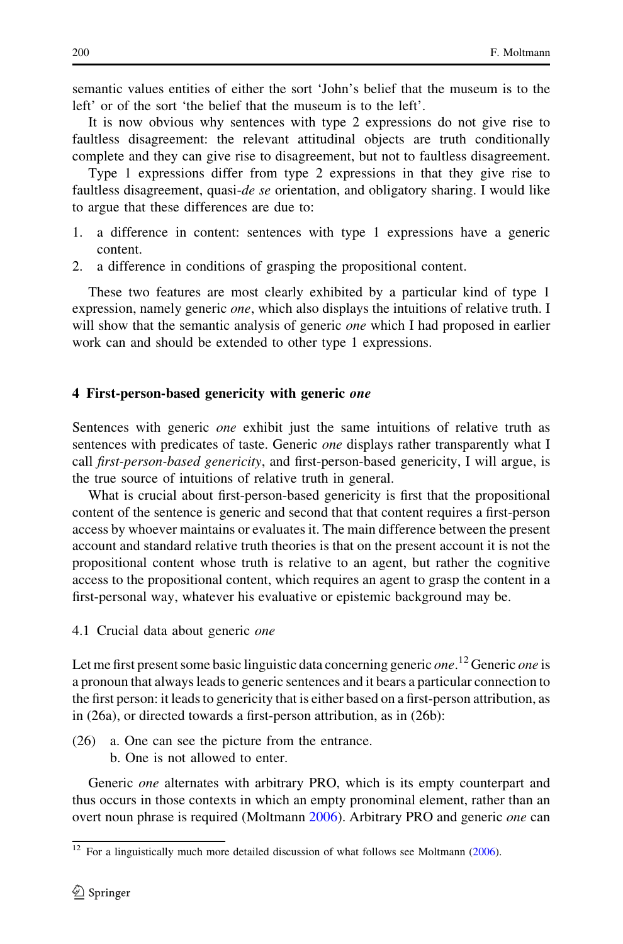<span id="page-13-0"></span>semantic values entities of either the sort 'John's belief that the museum is to the left' or of the sort 'the belief that the museum is to the left'.

It is now obvious why sentences with type 2 expressions do not give rise to faultless disagreement: the relevant attitudinal objects are truth conditionally complete and they can give rise to disagreement, but not to faultless disagreement.

Type 1 expressions differ from type 2 expressions in that they give rise to faultless disagreement, quasi-de se orientation, and obligatory sharing. I would like to argue that these differences are due to:

- 1. a difference in content: sentences with type 1 expressions have a generic content.
- 2. a difference in conditions of grasping the propositional content.

These two features are most clearly exhibited by a particular kind of type 1 expression, namely generic *one*, which also displays the intuitions of relative truth. I will show that the semantic analysis of generic one which I had proposed in earlier work can and should be extended to other type 1 expressions.

#### 4 First-person-based genericity with generic one

Sentences with generic *one* exhibit just the same intuitions of relative truth as sentences with predicates of taste. Generic *one* displays rather transparently what I call *first-person-based genericity*, and first-person-based genericity, I will argue, is the true source of intuitions of relative truth in general.

What is crucial about first-person-based genericity is first that the propositional content of the sentence is generic and second that that content requires a first-person access by whoever maintains or evaluates it. The main difference between the present account and standard relative truth theories is that on the present account it is not the propositional content whose truth is relative to an agent, but rather the cognitive access to the propositional content, which requires an agent to grasp the content in a first-personal way, whatever his evaluative or epistemic background may be.

4.1 Crucial data about generic one

Let me first present some basic linguistic data concerning generic one.<sup>12</sup> Generic one is a pronoun that always leads to generic sentences and it bears a particular connection to the first person: it leads to genericity that is either based on a first-person attribution, as in (26a), or directed towards a first-person attribution, as in (26b):

(26) a. One can see the picture from the entrance. b. One is not allowed to enter.

Generic *one* alternates with arbitrary PRO, which is its empty counterpart and thus occurs in those contexts in which an empty pronominal element, rather than an overt noun phrase is required (Moltmann [2006](#page-32-0)). Arbitrary PRO and generic *one* can

<sup>&</sup>lt;sup>12</sup> For a linguistically much more detailed discussion of what follows see Moltmann ( $2006$ ).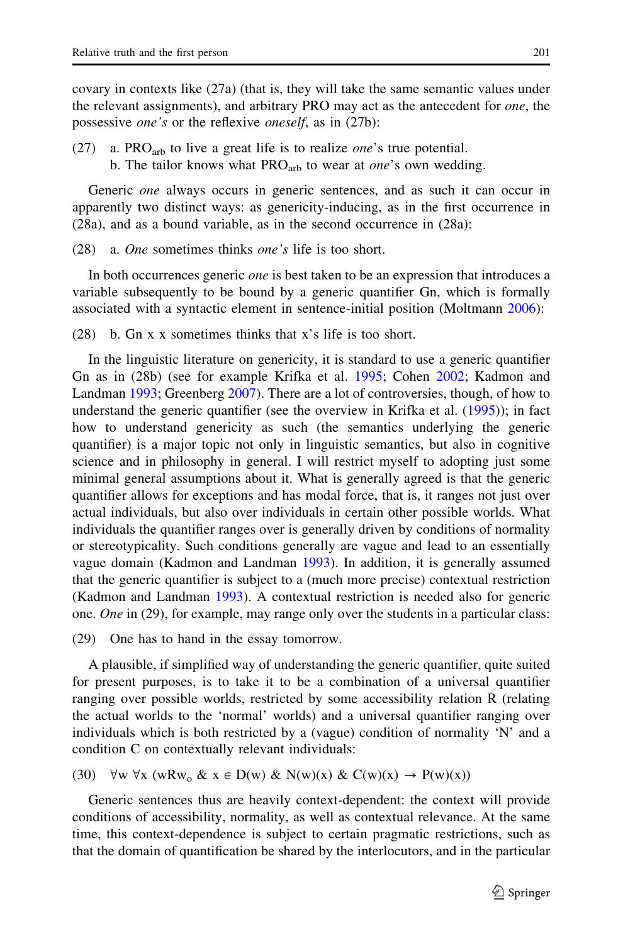covary in contexts like (27a) (that is, they will take the same semantic values under the relevant assignments), and arbitrary PRO may act as the antecedent for one, the possessive *one's* or the reflexive *oneself*, as in (27b):

(27) a. PRO<sub>arb</sub> to live a great life is to realize *one*'s true potential. b. The tailor knows what  $PRO<sub>arb</sub>$  to wear at *one*'s own wedding.

Generic one always occurs in generic sentences, and as such it can occur in apparently two distinct ways: as genericity-inducing, as in the first occurrence in (28a), and as a bound variable, as in the second occurrence in (28a):

(28) a. One sometimes thinks one's life is too short.

In both occurrences generic one is best taken to be an expression that introduces a variable subsequently to be bound by a generic quantifier Gn, which is formally associated with a syntactic element in sentence-initial position (Moltmann [2006](#page-32-0)):

(28) b. Gn x x sometimes thinks that x's life is too short.

In the linguistic literature on genericity, it is standard to use a generic quantifier Gn as in (28b) (see for example Krifka et al. [1995](#page-32-0); Cohen [2002;](#page-32-0) Kadmon and Landman [1993](#page-32-0); Greenberg [2007\)](#page-32-0). There are a lot of controversies, though, of how to understand the generic quantifier (see the overview in Krifka et al. ([1995\)](#page-32-0)); in fact how to understand genericity as such (the semantics underlying the generic quantifier) is a major topic not only in linguistic semantics, but also in cognitive science and in philosophy in general. I will restrict myself to adopting just some minimal general assumptions about it. What is generally agreed is that the generic quantifier allows for exceptions and has modal force, that is, it ranges not just over actual individuals, but also over individuals in certain other possible worlds. What individuals the quantifier ranges over is generally driven by conditions of normality or stereotypicality. Such conditions generally are vague and lead to an essentially vague domain (Kadmon and Landman [1993](#page-32-0)). In addition, it is generally assumed that the generic quantifier is subject to a (much more precise) contextual restriction (Kadmon and Landman [1993\)](#page-32-0). A contextual restriction is needed also for generic one. One in (29), for example, may range only over the students in a particular class:

(29) One has to hand in the essay tomorrow.

A plausible, if simplified way of understanding the generic quantifier, quite suited for present purposes, is to take it to be a combination of a universal quantifier ranging over possible worlds, restricted by some accessibility relation R (relating the actual worlds to the 'normal' worlds) and a universal quantifier ranging over individuals which is both restricted by a (vague) condition of normality 'N' and a condition C on contextually relevant individuals:

(30)  $\forall w \forall x (wRw_0 \& x \in D(w) \& N(w)(x) \& C(w)(x) \rightarrow P(w)(x))$ 

Generic sentences thus are heavily context-dependent: the context will provide conditions of accessibility, normality, as well as contextual relevance. At the same time, this context-dependence is subject to certain pragmatic restrictions, such as that the domain of quantification be shared by the interlocutors, and in the particular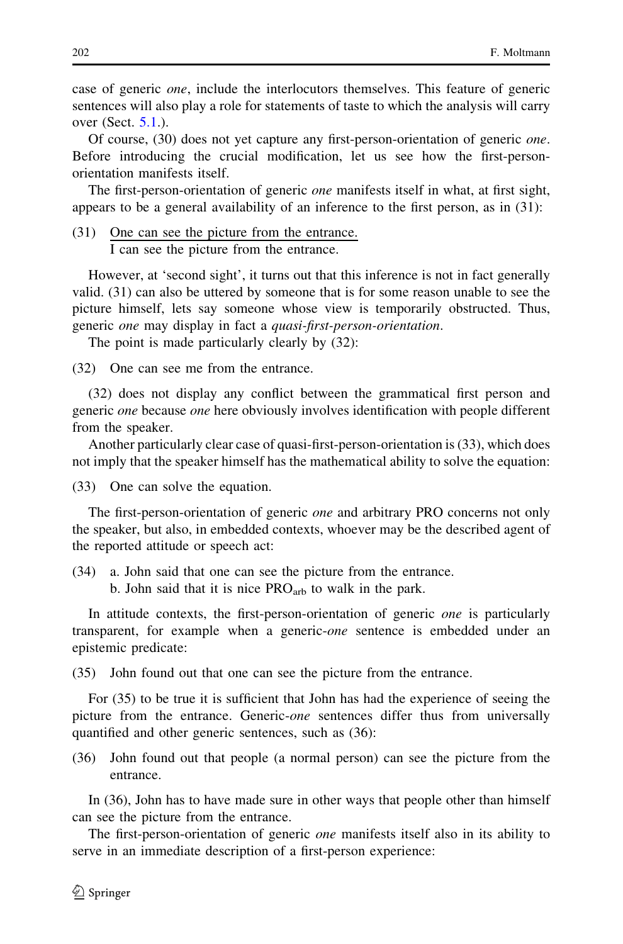case of generic one, include the interlocutors themselves. This feature of generic sentences will also play a role for statements of taste to which the analysis will carry over (Sect. [5.1.](#page-13-0)).

Of course, (30) does not yet capture any first-person-orientation of generic one. Before introducing the crucial modification, let us see how the first-personorientation manifests itself.

The first-person-orientation of generic one manifests itself in what, at first sight, appears to be a general availability of an inference to the first person, as in (31):

(31) One can see the picture from the entrance. I can see the picture from the entrance.

However, at 'second sight', it turns out that this inference is not in fact generally valid. (31) can also be uttered by someone that is for some reason unable to see the picture himself, lets say someone whose view is temporarily obstructed. Thus, generic one may display in fact a quasi-first-person-orientation.

The point is made particularly clearly by (32):

(32) One can see me from the entrance.

(32) does not display any conflict between the grammatical first person and generic one because one here obviously involves identification with people different from the speaker.

Another particularly clear case of quasi-first-person-orientation is (33), which does not imply that the speaker himself has the mathematical ability to solve the equation:

(33) One can solve the equation.

The first-person-orientation of generic one and arbitrary PRO concerns not only the speaker, but also, in embedded contexts, whoever may be the described agent of the reported attitude or speech act:

(34) a. John said that one can see the picture from the entrance. b. John said that it is nice  $PRO<sub>arb</sub>$  to walk in the park.

In attitude contexts, the first-person-orientation of generic *one* is particularly transparent, for example when a generic-one sentence is embedded under an epistemic predicate:

(35) John found out that one can see the picture from the entrance.

For (35) to be true it is sufficient that John has had the experience of seeing the picture from the entrance. Generic-*one* sentences differ thus from universally quantified and other generic sentences, such as (36):

(36) John found out that people (a normal person) can see the picture from the entrance.

In (36), John has to have made sure in other ways that people other than himself can see the picture from the entrance.

The first-person-orientation of generic one manifests itself also in its ability to serve in an immediate description of a first-person experience: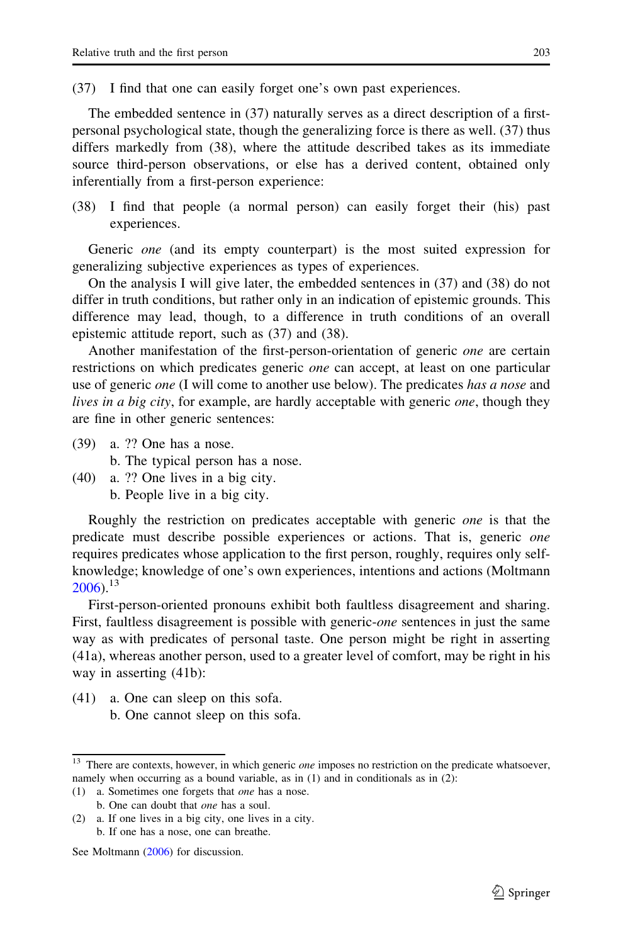(37) I find that one can easily forget one's own past experiences.

The embedded sentence in (37) naturally serves as a direct description of a firstpersonal psychological state, though the generalizing force is there as well. (37) thus differs markedly from (38), where the attitude described takes as its immediate source third-person observations, or else has a derived content, obtained only inferentially from a first-person experience:

(38) I find that people (a normal person) can easily forget their (his) past experiences.

Generic one (and its empty counterpart) is the most suited expression for generalizing subjective experiences as types of experiences.

On the analysis I will give later, the embedded sentences in (37) and (38) do not differ in truth conditions, but rather only in an indication of epistemic grounds. This difference may lead, though, to a difference in truth conditions of an overall epistemic attitude report, such as (37) and (38).

Another manifestation of the first-person-orientation of generic one are certain restrictions on which predicates generic *one* can accept, at least on one particular use of generic *one* (I will come to another use below). The predicates has a nose and lives in a big city, for example, are hardly acceptable with generic *one*, though they are fine in other generic sentences:

(39) a. ?? One has a nose.

b. The typical person has a nose.

(40) a. ?? One lives in a big city. b. People live in a big city.

Roughly the restriction on predicates acceptable with generic one is that the predicate must describe possible experiences or actions. That is, generic one requires predicates whose application to the first person, roughly, requires only selfknowledge; knowledge of one's own experiences, intentions and actions (Moltmann  $2006$ ).<sup>13</sup>

First-person-oriented pronouns exhibit both faultless disagreement and sharing. First, faultless disagreement is possible with generic-one sentences in just the same way as with predicates of personal taste. One person might be right in asserting (41a), whereas another person, used to a greater level of comfort, may be right in his way in asserting (41b):

(41) a. One can sleep on this sofa. b. One cannot sleep on this sofa.

<sup>&</sup>lt;sup>13</sup> There are contexts, however, in which generic *one* imposes no restriction on the predicate whatsoever, namely when occurring as a bound variable, as in  $(1)$  and in conditionals as in  $(2)$ :

<sup>(1)</sup> a. Sometimes one forgets that one has a nose. b. One can doubt that one has a soul.

<sup>(2)</sup> a. If one lives in a big city, one lives in a city. b. If one has a nose, one can breathe.

See Moltmann ([2006\)](#page-32-0) for discussion.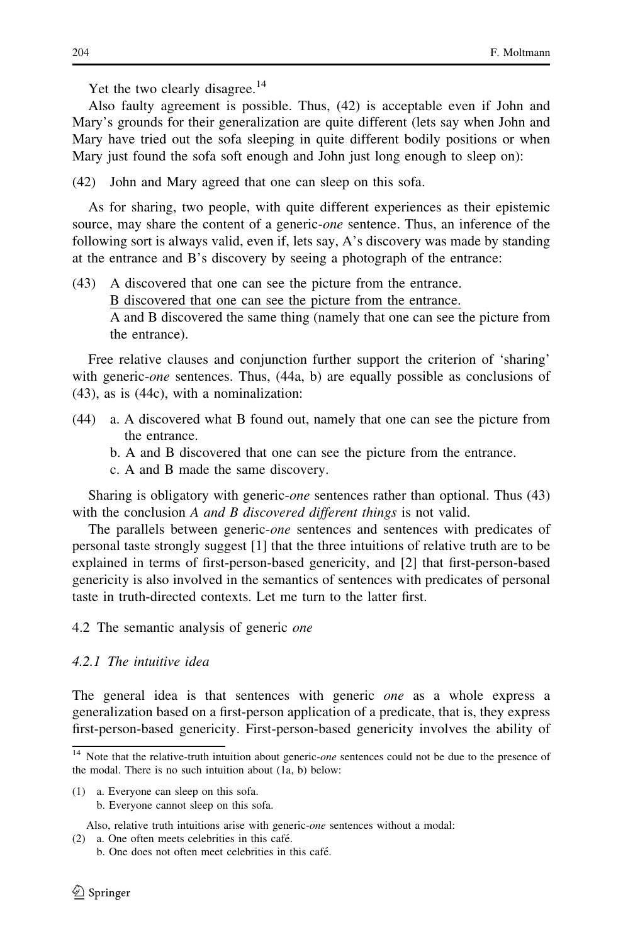Yet the two clearly disagree.<sup>14</sup>

Also faulty agreement is possible. Thus, (42) is acceptable even if John and Mary's grounds for their generalization are quite different (lets say when John and Mary have tried out the sofa sleeping in quite different bodily positions or when Mary just found the sofa soft enough and John just long enough to sleep on):

(42) John and Mary agreed that one can sleep on this sofa.

As for sharing, two people, with quite different experiences as their epistemic source, may share the content of a generic-*one* sentence. Thus, an inference of the following sort is always valid, even if, lets say, A's discovery was made by standing at the entrance and B's discovery by seeing a photograph of the entrance:

(43) A discovered that one can see the picture from the entrance. B discovered that one can see the picture from the entrance. A and B discovered the same thing (namely that one can see the picture from the entrance).

Free relative clauses and conjunction further support the criterion of 'sharing' with generic-*one* sentences. Thus, (44a, b) are equally possible as conclusions of (43), as is (44c), with a nominalization:

- (44) a. A discovered what B found out, namely that one can see the picture from the entrance.
	- b. A and B discovered that one can see the picture from the entrance.
	- c. A and B made the same discovery.

Sharing is obligatory with generic-one sentences rather than optional. Thus (43) with the conclusion A and B discovered different things is not valid.

The parallels between generic-one sentences and sentences with predicates of personal taste strongly suggest [1] that the three intuitions of relative truth are to be explained in terms of first-person-based genericity, and [2] that first-person-based genericity is also involved in the semantics of sentences with predicates of personal taste in truth-directed contexts. Let me turn to the latter first.

4.2 The semantic analysis of generic one

# 4.2.1 The intuitive idea

The general idea is that sentences with generic *one* as a whole express a generalization based on a first-person application of a predicate, that is, they express first-person-based genericity. First-person-based genericity involves the ability of

(1) a. Everyone can sleep on this sofa.

 $14$  Note that the relative-truth intuition about generic-*one* sentences could not be due to the presence of the modal. There is no such intuition about (1a, b) below:

b. Everyone cannot sleep on this sofa.

Also, relative truth intuitions arise with generic-one sentences without a modal:

<sup>(2)</sup> a. One often meets celebrities in this café.

b. One does not often meet celebrities in this café.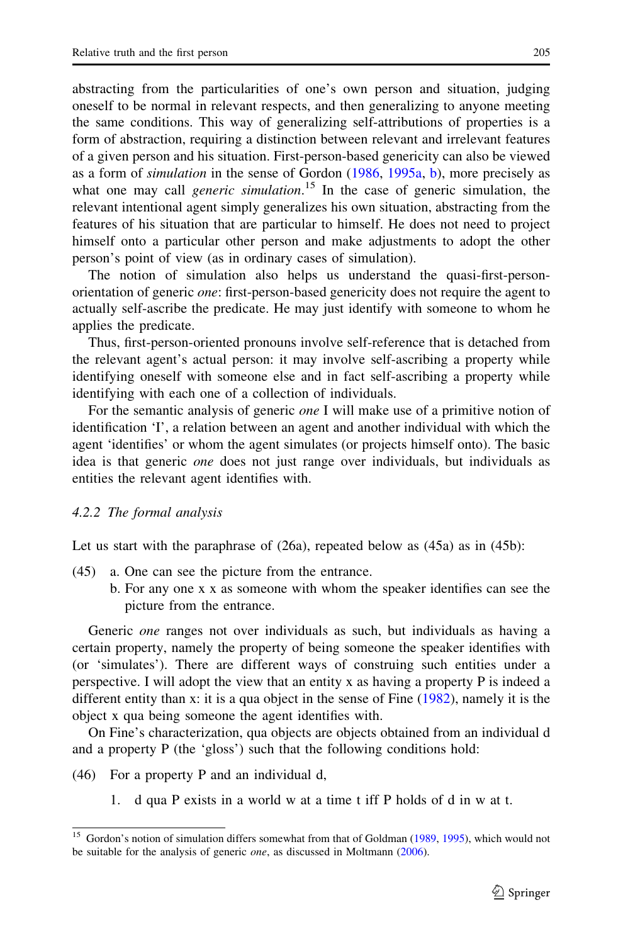abstracting from the particularities of one's own person and situation, judging oneself to be normal in relevant respects, and then generalizing to anyone meeting the same conditions. This way of generalizing self-attributions of properties is a form of abstraction, requiring a distinction between relevant and irrelevant features of a given person and his situation. First-person-based genericity can also be viewed as a form of simulation in the sense of Gordon ([1986,](#page-32-0) [1995a,](#page-32-0) [b](#page-32-0)), more precisely as what one may call *generic simulation*.<sup>15</sup> In the case of generic simulation, the relevant intentional agent simply generalizes his own situation, abstracting from the features of his situation that are particular to himself. He does not need to project himself onto a particular other person and make adjustments to adopt the other person's point of view (as in ordinary cases of simulation).

The notion of simulation also helps us understand the quasi-first-personorientation of generic one: first-person-based genericity does not require the agent to actually self-ascribe the predicate. He may just identify with someone to whom he applies the predicate.

Thus, first-person-oriented pronouns involve self-reference that is detached from the relevant agent's actual person: it may involve self-ascribing a property while identifying oneself with someone else and in fact self-ascribing a property while identifying with each one of a collection of individuals.

For the semantic analysis of generic *one* I will make use of a primitive notion of identification 'I', a relation between an agent and another individual with which the agent 'identifies' or whom the agent simulates (or projects himself onto). The basic idea is that generic *one* does not just range over individuals, but individuals as entities the relevant agent identifies with.

# 4.2.2 The formal analysis

Let us start with the paraphrase of (26a), repeated below as (45a) as in (45b):

- (45) a. One can see the picture from the entrance.
	- b. For any one x x as someone with whom the speaker identifies can see the picture from the entrance.

Generic *one* ranges not over individuals as such, but individuals as having a certain property, namely the property of being someone the speaker identifies with (or 'simulates'). There are different ways of construing such entities under a perspective. I will adopt the view that an entity x as having a property P is indeed a different entity than x: it is a qua object in the sense of Fine ([1982\)](#page-32-0), namely it is the object x qua being someone the agent identifies with.

On Fine's characterization, qua objects are objects obtained from an individual d and a property P (the 'gloss') such that the following conditions hold:

- (46) For a property P and an individual d,
	- 1. d qua P exists in a world w at a time t iff P holds of d in w at t.

<sup>&</sup>lt;sup>15</sup> Gordon's notion of simulation differs somewhat from that of Goldman [\(1989,](#page-32-0) [1995\)](#page-32-0), which would not be suitable for the analysis of generic one, as discussed in Moltmann ([2006\)](#page-32-0).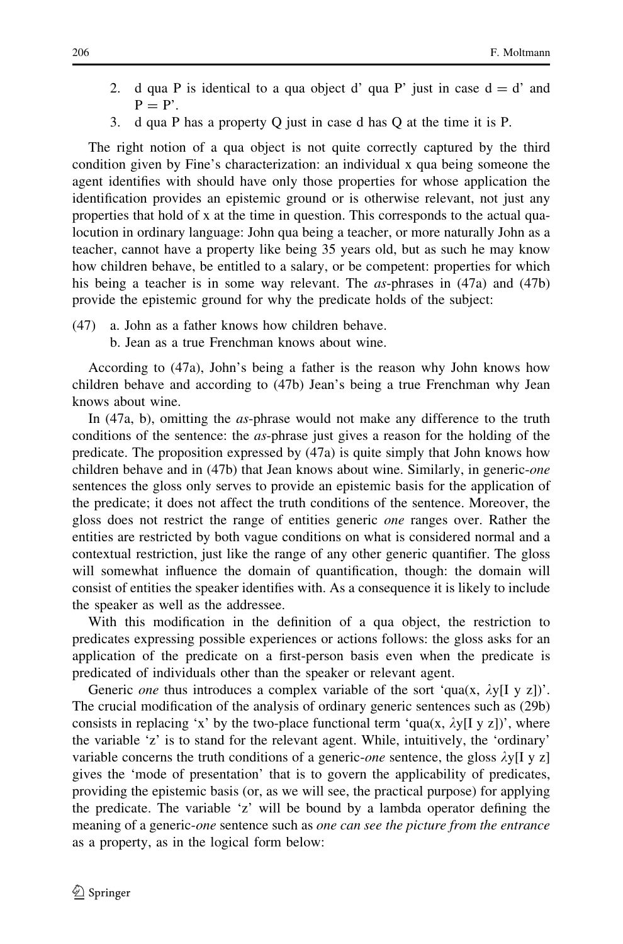- 2. d qua P is identical to a qua object d' qua P' just in case  $d = d'$  and  $P = P'$ .
- 3. d qua P has a property Q just in case d has Q at the time it is P.

The right notion of a qua object is not quite correctly captured by the third condition given by Fine's characterization: an individual x qua being someone the agent identifies with should have only those properties for whose application the identification provides an epistemic ground or is otherwise relevant, not just any properties that hold of x at the time in question. This corresponds to the actual qualocution in ordinary language: John qua being a teacher, or more naturally John as a teacher, cannot have a property like being 35 years old, but as such he may know how children behave, be entitled to a salary, or be competent: properties for which his being a teacher is in some way relevant. The *as*-phrases in (47a) and (47b) provide the epistemic ground for why the predicate holds of the subject:

- (47) a. John as a father knows how children behave.
	- b. Jean as a true Frenchman knows about wine.

According to (47a), John's being a father is the reason why John knows how children behave and according to (47b) Jean's being a true Frenchman why Jean knows about wine.

In (47a, b), omitting the as-phrase would not make any difference to the truth conditions of the sentence: the as-phrase just gives a reason for the holding of the predicate. The proposition expressed by (47a) is quite simply that John knows how children behave and in (47b) that Jean knows about wine. Similarly, in generic-one sentences the gloss only serves to provide an epistemic basis for the application of the predicate; it does not affect the truth conditions of the sentence. Moreover, the gloss does not restrict the range of entities generic one ranges over. Rather the entities are restricted by both vague conditions on what is considered normal and a contextual restriction, just like the range of any other generic quantifier. The gloss will somewhat influence the domain of quantification, though: the domain will consist of entities the speaker identifies with. As a consequence it is likely to include the speaker as well as the addressee.

With this modification in the definition of a qua object, the restriction to predicates expressing possible experiences or actions follows: the gloss asks for an application of the predicate on a first-person basis even when the predicate is predicated of individuals other than the speaker or relevant agent.

Generic *one* thus introduces a complex variable of the sort 'qua(x,  $\lambda y[I y z])'$ . The crucial modification of the analysis of ordinary generic sentences such as (29b) consists in replacing 'x' by the two-place functional term 'qua(x,  $\lambda y[I y z]$ )', where the variable 'z' is to stand for the relevant agent. While, intuitively, the 'ordinary' variable concerns the truth conditions of a generic-one sentence, the gloss  $\lambda$ y[I y z] gives the 'mode of presentation' that is to govern the applicability of predicates, providing the epistemic basis (or, as we will see, the practical purpose) for applying the predicate. The variable 'z' will be bound by a lambda operator defining the meaning of a generic-one sentence such as one can see the picture from the entrance as a property, as in the logical form below: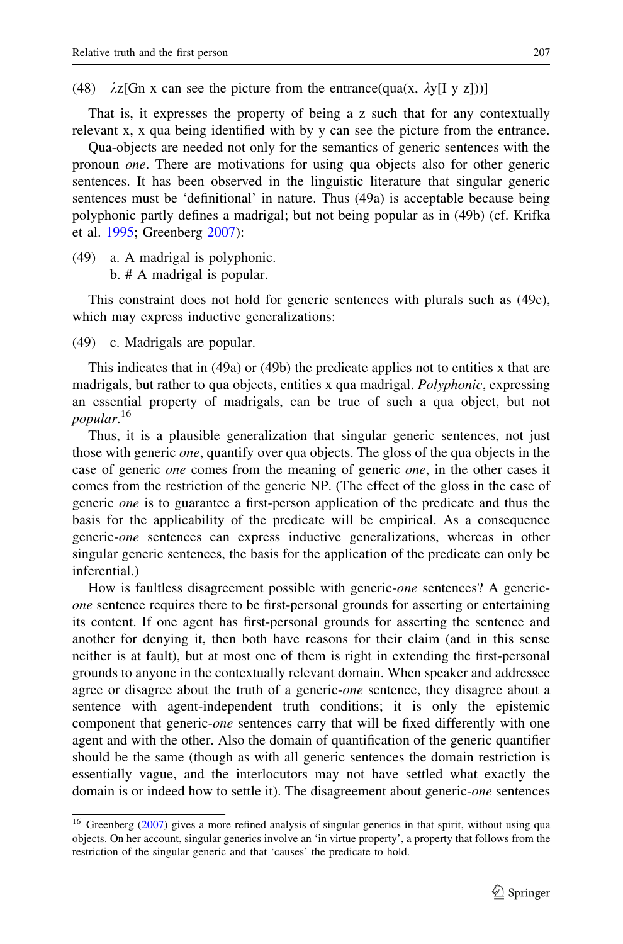(48)  $\lambda$ z[Gn x can see the picture from the entrance(qua(x,  $\lambda$ y[I y z]))]

That is, it expresses the property of being a z such that for any contextually relevant x, x qua being identified with by y can see the picture from the entrance.

Qua-objects are needed not only for the semantics of generic sentences with the pronoun one. There are motivations for using qua objects also for other generic sentences. It has been observed in the linguistic literature that singular generic sentences must be 'definitional' in nature. Thus (49a) is acceptable because being polyphonic partly defines a madrigal; but not being popular as in (49b) (cf. Krifka et al. [1995;](#page-32-0) Greenberg [2007](#page-32-0)):

(49) a. A madrigal is polyphonic.

b. # A madrigal is popular.

This constraint does not hold for generic sentences with plurals such as (49c), which may express inductive generalizations:

(49) c. Madrigals are popular.

This indicates that in (49a) or (49b) the predicate applies not to entities x that are madrigals, but rather to qua objects, entities x qua madrigal. Polyphonic, expressing an essential property of madrigals, can be true of such a qua object, but not popular. 16

Thus, it is a plausible generalization that singular generic sentences, not just those with generic *one*, quantify over qua objects. The gloss of the qua objects in the case of generic one comes from the meaning of generic one, in the other cases it comes from the restriction of the generic NP. (The effect of the gloss in the case of generic one is to guarantee a first-person application of the predicate and thus the basis for the applicability of the predicate will be empirical. As a consequence generic-one sentences can express inductive generalizations, whereas in other singular generic sentences, the basis for the application of the predicate can only be inferential.)

How is faultless disagreement possible with generic-one sentences? A genericone sentence requires there to be first-personal grounds for asserting or entertaining its content. If one agent has first-personal grounds for asserting the sentence and another for denying it, then both have reasons for their claim (and in this sense neither is at fault), but at most one of them is right in extending the first-personal grounds to anyone in the contextually relevant domain. When speaker and addressee agree or disagree about the truth of a generic-*one* sentence, they disagree about a sentence with agent-independent truth conditions; it is only the epistemic component that generic-*one* sentences carry that will be fixed differently with one agent and with the other. Also the domain of quantification of the generic quantifier should be the same (though as with all generic sentences the domain restriction is essentially vague, and the interlocutors may not have settled what exactly the domain is or indeed how to settle it). The disagreement about generic-one sentences

<sup>&</sup>lt;sup>16</sup> Greenberg ([2007\)](#page-32-0) gives a more refined analysis of singular generics in that spirit, without using qua objects. On her account, singular generics involve an 'in virtue property', a property that follows from the restriction of the singular generic and that 'causes' the predicate to hold.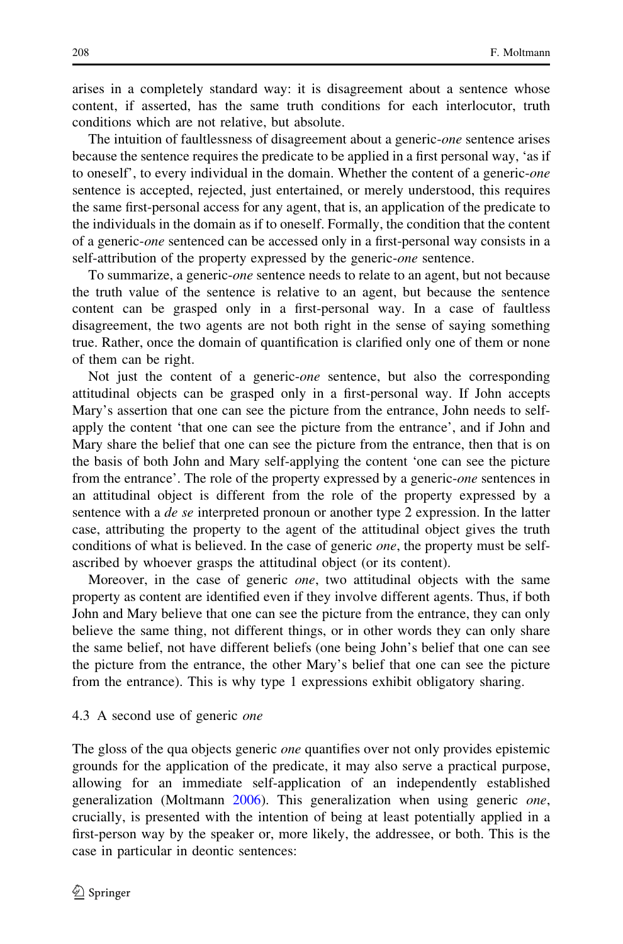arises in a completely standard way: it is disagreement about a sentence whose content, if asserted, has the same truth conditions for each interlocutor, truth conditions which are not relative, but absolute.

The intuition of faultlessness of disagreement about a generic-one sentence arises because the sentence requires the predicate to be applied in a first personal way, 'as if to oneself', to every individual in the domain. Whether the content of a generic-one sentence is accepted, rejected, just entertained, or merely understood, this requires the same first-personal access for any agent, that is, an application of the predicate to the individuals in the domain as if to oneself. Formally, the condition that the content of a generic-one sentenced can be accessed only in a first-personal way consists in a self-attribution of the property expressed by the generic-one sentence.

To summarize, a generic-*one* sentence needs to relate to an agent, but not because the truth value of the sentence is relative to an agent, but because the sentence content can be grasped only in a first-personal way. In a case of faultless disagreement, the two agents are not both right in the sense of saying something true. Rather, once the domain of quantification is clarified only one of them or none of them can be right.

Not just the content of a generic-*one* sentence, but also the corresponding attitudinal objects can be grasped only in a first-personal way. If John accepts Mary's assertion that one can see the picture from the entrance, John needs to selfapply the content 'that one can see the picture from the entrance', and if John and Mary share the belief that one can see the picture from the entrance, then that is on the basis of both John and Mary self-applying the content 'one can see the picture from the entrance'. The role of the property expressed by a generic-one sentences in an attitudinal object is different from the role of the property expressed by a sentence with a *de se* interpreted pronoun or another type 2 expression. In the latter case, attributing the property to the agent of the attitudinal object gives the truth conditions of what is believed. In the case of generic *one*, the property must be selfascribed by whoever grasps the attitudinal object (or its content).

Moreover, in the case of generic *one*, two attitudinal objects with the same property as content are identified even if they involve different agents. Thus, if both John and Mary believe that one can see the picture from the entrance, they can only believe the same thing, not different things, or in other words they can only share the same belief, not have different beliefs (one being John's belief that one can see the picture from the entrance, the other Mary's belief that one can see the picture from the entrance). This is why type 1 expressions exhibit obligatory sharing.

#### 4.3 A second use of generic one

The gloss of the qua objects generic *one* quantifies over not only provides epistemic grounds for the application of the predicate, it may also serve a practical purpose, allowing for an immediate self-application of an independently established generalization (Moltmann [2006](#page-32-0)). This generalization when using generic one, crucially, is presented with the intention of being at least potentially applied in a first-person way by the speaker or, more likely, the addressee, or both. This is the case in particular in deontic sentences: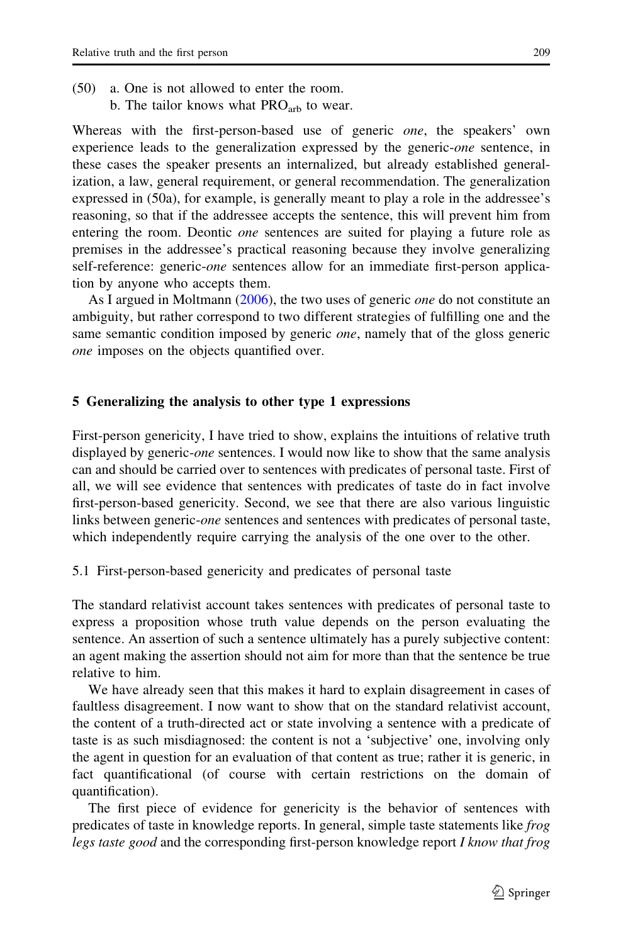(50) a. One is not allowed to enter the room. b. The tailor knows what  $PRO<sub>arb</sub>$  to wear.

Whereas with the first-person-based use of generic *one*, the speakers' own experience leads to the generalization expressed by the generic-*one* sentence, in these cases the speaker presents an internalized, but already established generalization, a law, general requirement, or general recommendation. The generalization expressed in (50a), for example, is generally meant to play a role in the addressee's reasoning, so that if the addressee accepts the sentence, this will prevent him from entering the room. Deontic *one* sentences are suited for playing a future role as premises in the addressee's practical reasoning because they involve generalizing self-reference: generic-one sentences allow for an immediate first-person application by anyone who accepts them.

As I argued in Moltmann [\(2006](#page-32-0)), the two uses of generic one do not constitute an ambiguity, but rather correspond to two different strategies of fulfilling one and the same semantic condition imposed by generic *one*, namely that of the gloss generic one imposes on the objects quantified over.

## 5 Generalizing the analysis to other type 1 expressions

First-person genericity, I have tried to show, explains the intuitions of relative truth displayed by generic-*one* sentences. I would now like to show that the same analysis can and should be carried over to sentences with predicates of personal taste. First of all, we will see evidence that sentences with predicates of taste do in fact involve first-person-based genericity. Second, we see that there are also various linguistic links between generic-one sentences and sentences with predicates of personal taste, which independently require carrying the analysis of the one over to the other.

5.1 First-person-based genericity and predicates of personal taste

The standard relativist account takes sentences with predicates of personal taste to express a proposition whose truth value depends on the person evaluating the sentence. An assertion of such a sentence ultimately has a purely subjective content: an agent making the assertion should not aim for more than that the sentence be true relative to him.

We have already seen that this makes it hard to explain disagreement in cases of faultless disagreement. I now want to show that on the standard relativist account, the content of a truth-directed act or state involving a sentence with a predicate of taste is as such misdiagnosed: the content is not a 'subjective' one, involving only the agent in question for an evaluation of that content as true; rather it is generic, in fact quantificational (of course with certain restrictions on the domain of quantification).

The first piece of evidence for genericity is the behavior of sentences with predicates of taste in knowledge reports. In general, simple taste statements like frog legs taste good and the corresponding first-person knowledge report I know that frog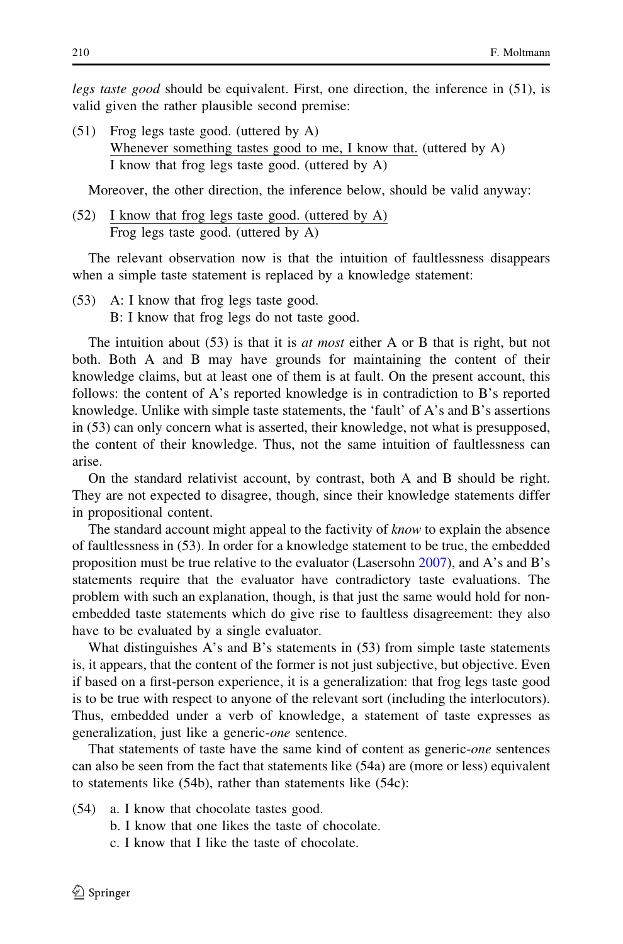legs taste good should be equivalent. First, one direction, the inference in (51), is valid given the rather plausible second premise:

(51) Frog legs taste good. (uttered by A) Whenever something tastes good to me, I know that. (uttered by A) I know that frog legs taste good. (uttered by A)

Moreover, the other direction, the inference below, should be valid anyway:

(52) I know that frog legs taste good. (uttered by A) Frog legs taste good. (uttered by A)

The relevant observation now is that the intuition of faultlessness disappears when a simple taste statement is replaced by a knowledge statement:

(53) A: I know that frog legs taste good.

B: I know that frog legs do not taste good.

The intuition about  $(53)$  is that it is *at most* either A or B that is right, but not both. Both A and B may have grounds for maintaining the content of their knowledge claims, but at least one of them is at fault. On the present account, this follows: the content of A's reported knowledge is in contradiction to B's reported knowledge. Unlike with simple taste statements, the 'fault' of A's and B's assertions in (53) can only concern what is asserted, their knowledge, not what is presupposed, the content of their knowledge. Thus, not the same intuition of faultlessness can arise.

On the standard relativist account, by contrast, both A and B should be right. They are not expected to disagree, though, since their knowledge statements differ in propositional content.

The standard account might appeal to the factivity of *know* to explain the absence of faultlessness in (53). In order for a knowledge statement to be true, the embedded proposition must be true relative to the evaluator (Lasersohn [2007](#page-32-0)), and A's and B's statements require that the evaluator have contradictory taste evaluations. The problem with such an explanation, though, is that just the same would hold for nonembedded taste statements which do give rise to faultless disagreement: they also have to be evaluated by a single evaluator.

What distinguishes A's and B's statements in (53) from simple taste statements is, it appears, that the content of the former is not just subjective, but objective. Even if based on a first-person experience, it is a generalization: that frog legs taste good is to be true with respect to anyone of the relevant sort (including the interlocutors). Thus, embedded under a verb of knowledge, a statement of taste expresses as generalization, just like a generic-one sentence.

That statements of taste have the same kind of content as generic-one sentences can also be seen from the fact that statements like (54a) are (more or less) equivalent to statements like (54b), rather than statements like (54c):

- (54) a. I know that chocolate tastes good.
	- b. I know that one likes the taste of chocolate.
	- c. I know that I like the taste of chocolate.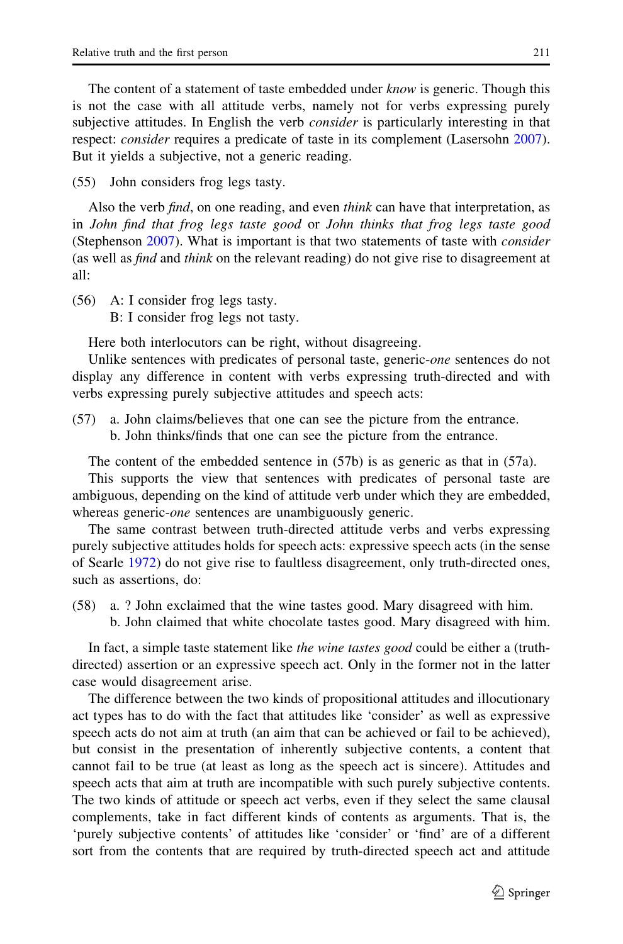The content of a statement of taste embedded under *know* is generic. Though this is not the case with all attitude verbs, namely not for verbs expressing purely subjective attitudes. In English the verb *consider* is particularly interesting in that respect: *consider* requires a predicate of taste in its complement (Lasersohn [2007\)](#page-32-0). But it yields a subjective, not a generic reading.

(55) John considers frog legs tasty.

Also the verb *find*, on one reading, and even *think* can have that interpretation, as in John find that frog legs taste good or John thinks that frog legs taste good (Stephenson [2007](#page-33-0)). What is important is that two statements of taste with consider (as well as find and think on the relevant reading) do not give rise to disagreement at all:

(56) A: I consider frog legs tasty.

B: I consider frog legs not tasty.

Here both interlocutors can be right, without disagreeing.

Unlike sentences with predicates of personal taste, generic-one sentences do not display any difference in content with verbs expressing truth-directed and with verbs expressing purely subjective attitudes and speech acts:

(57) a. John claims/believes that one can see the picture from the entrance. b. John thinks/finds that one can see the picture from the entrance.

The content of the embedded sentence in (57b) is as generic as that in (57a).

This supports the view that sentences with predicates of personal taste are ambiguous, depending on the kind of attitude verb under which they are embedded, whereas generic-*one* sentences are unambiguously generic.

The same contrast between truth-directed attitude verbs and verbs expressing purely subjective attitudes holds for speech acts: expressive speech acts (in the sense of Searle [1972](#page-33-0)) do not give rise to faultless disagreement, only truth-directed ones, such as assertions, do:

(58) a. ? John exclaimed that the wine tastes good. Mary disagreed with him. b. John claimed that white chocolate tastes good. Mary disagreed with him.

In fact, a simple taste statement like *the wine tastes good* could be either a (truthdirected) assertion or an expressive speech act. Only in the former not in the latter case would disagreement arise.

The difference between the two kinds of propositional attitudes and illocutionary act types has to do with the fact that attitudes like 'consider' as well as expressive speech acts do not aim at truth (an aim that can be achieved or fail to be achieved), but consist in the presentation of inherently subjective contents, a content that cannot fail to be true (at least as long as the speech act is sincere). Attitudes and speech acts that aim at truth are incompatible with such purely subjective contents. The two kinds of attitude or speech act verbs, even if they select the same clausal complements, take in fact different kinds of contents as arguments. That is, the 'purely subjective contents' of attitudes like 'consider' or 'find' are of a different sort from the contents that are required by truth-directed speech act and attitude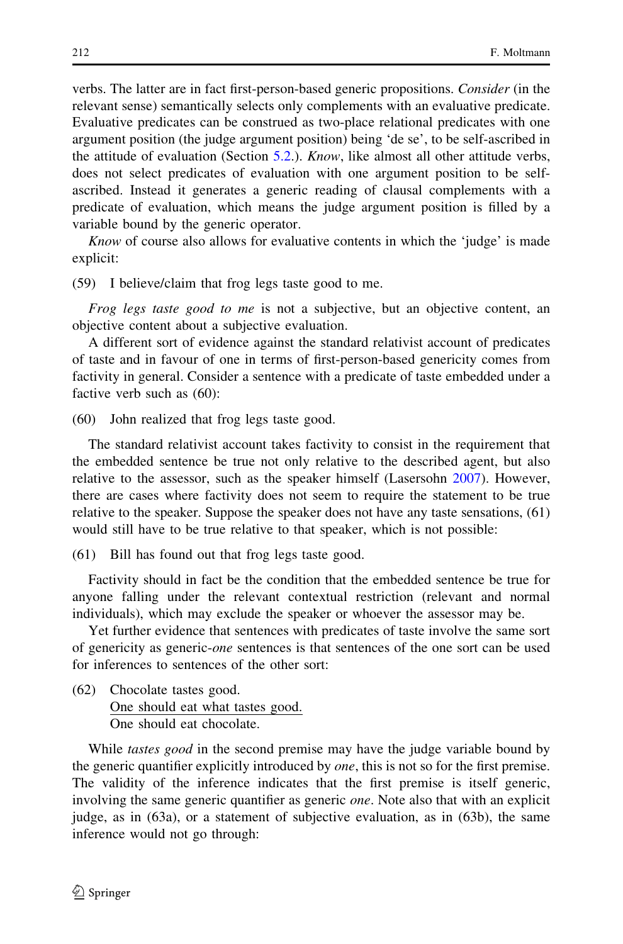verbs. The latter are in fact first-person-based generic propositions. Consider (in the relevant sense) semantically selects only complements with an evaluative predicate. Evaluative predicates can be construed as two-place relational predicates with one argument position (the judge argument position) being 'de se', to be self-ascribed in the attitude of evaluation (Section  $5.2$ .). *Know*, like almost all other attitude verbs, does not select predicates of evaluation with one argument position to be selfascribed. Instead it generates a generic reading of clausal complements with a predicate of evaluation, which means the judge argument position is filled by a variable bound by the generic operator.

Know of course also allows for evaluative contents in which the 'judge' is made explicit:

(59) I believe/claim that frog legs taste good to me.

Frog legs taste good to me is not a subjective, but an objective content, an objective content about a subjective evaluation.

A different sort of evidence against the standard relativist account of predicates of taste and in favour of one in terms of first-person-based genericity comes from factivity in general. Consider a sentence with a predicate of taste embedded under a factive verb such as (60):

(60) John realized that frog legs taste good.

The standard relativist account takes factivity to consist in the requirement that the embedded sentence be true not only relative to the described agent, but also relative to the assessor, such as the speaker himself (Lasersohn [2007](#page-32-0)). However, there are cases where factivity does not seem to require the statement to be true relative to the speaker. Suppose the speaker does not have any taste sensations, (61) would still have to be true relative to that speaker, which is not possible:

(61) Bill has found out that frog legs taste good.

Factivity should in fact be the condition that the embedded sentence be true for anyone falling under the relevant contextual restriction (relevant and normal individuals), which may exclude the speaker or whoever the assessor may be.

Yet further evidence that sentences with predicates of taste involve the same sort of genericity as generic-one sentences is that sentences of the one sort can be used for inferences to sentences of the other sort:

(62) Chocolate tastes good. One should eat what tastes good. One should eat chocolate.

While *tastes good* in the second premise may have the judge variable bound by the generic quantifier explicitly introduced by one, this is not so for the first premise. The validity of the inference indicates that the first premise is itself generic, involving the same generic quantifier as generic *one*. Note also that with an explicit judge, as in (63a), or a statement of subjective evaluation, as in (63b), the same inference would not go through: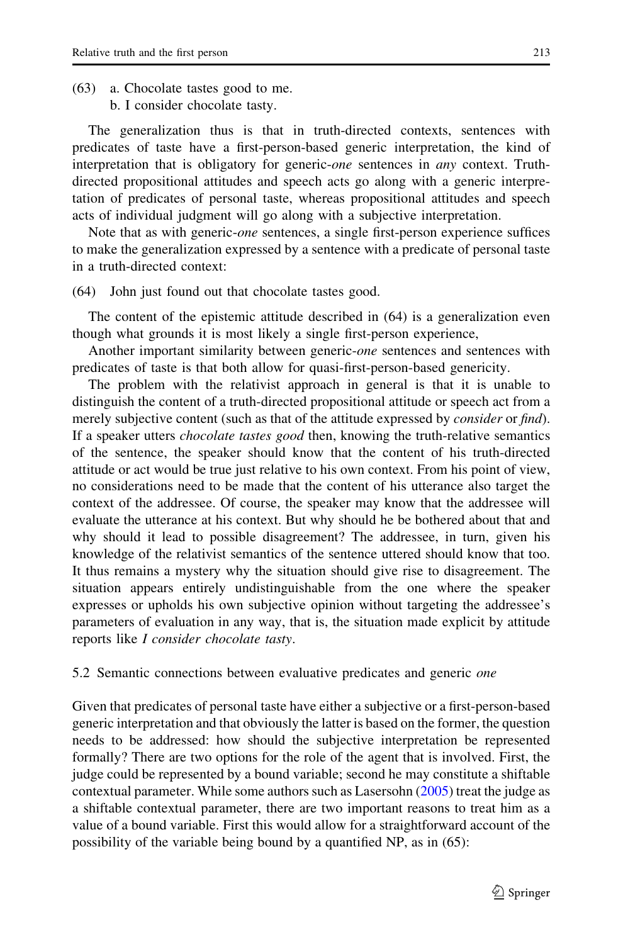<span id="page-26-0"></span>(63) a. Chocolate tastes good to me. b. I consider chocolate tasty.

The generalization thus is that in truth-directed contexts, sentences with predicates of taste have a first-person-based generic interpretation, the kind of interpretation that is obligatory for generic-one sentences in any context. Truthdirected propositional attitudes and speech acts go along with a generic interpretation of predicates of personal taste, whereas propositional attitudes and speech acts of individual judgment will go along with a subjective interpretation.

Note that as with generic-one sentences, a single first-person experience suffices to make the generalization expressed by a sentence with a predicate of personal taste in a truth-directed context:

(64) John just found out that chocolate tastes good.

The content of the epistemic attitude described in (64) is a generalization even though what grounds it is most likely a single first-person experience,

Another important similarity between generic-one sentences and sentences with predicates of taste is that both allow for quasi-first-person-based genericity.

The problem with the relativist approach in general is that it is unable to distinguish the content of a truth-directed propositional attitude or speech act from a merely subjective content (such as that of the attitude expressed by *consider* or *find*). If a speaker utters *chocolate tastes good* then, knowing the truth-relative semantics of the sentence, the speaker should know that the content of his truth-directed attitude or act would be true just relative to his own context. From his point of view, no considerations need to be made that the content of his utterance also target the context of the addressee. Of course, the speaker may know that the addressee will evaluate the utterance at his context. But why should he be bothered about that and why should it lead to possible disagreement? The addressee, in turn, given his knowledge of the relativist semantics of the sentence uttered should know that too. It thus remains a mystery why the situation should give rise to disagreement. The situation appears entirely undistinguishable from the one where the speaker expresses or upholds his own subjective opinion without targeting the addressee's parameters of evaluation in any way, that is, the situation made explicit by attitude reports like I consider chocolate tasty.

5.2 Semantic connections between evaluative predicates and generic *one* 

Given that predicates of personal taste have either a subjective or a first-person-based generic interpretation and that obviously the latter is based on the former, the question needs to be addressed: how should the subjective interpretation be represented formally? There are two options for the role of the agent that is involved. First, the judge could be represented by a bound variable; second he may constitute a shiftable contextual parameter. While some authors such as Lasersohn ([2005\)](#page-32-0) treat the judge as a shiftable contextual parameter, there are two important reasons to treat him as a value of a bound variable. First this would allow for a straightforward account of the possibility of the variable being bound by a quantified NP, as in (65):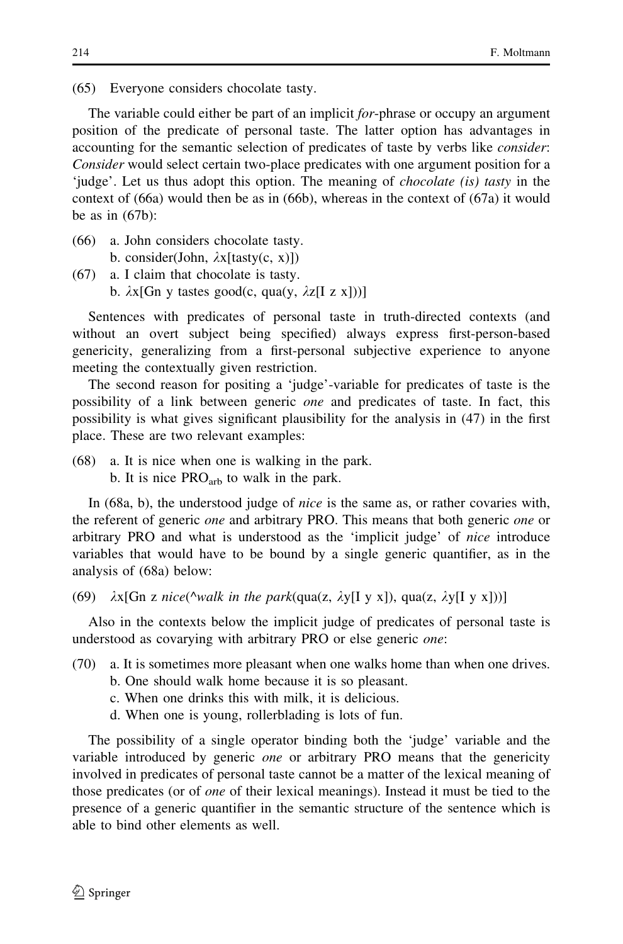(65) Everyone considers chocolate tasty.

The variable could either be part of an implicit *for*-phrase or occupy an argument position of the predicate of personal taste. The latter option has advantages in accounting for the semantic selection of predicates of taste by verbs like consider: Consider would select certain two-place predicates with one argument position for a 'judge'. Let us thus adopt this option. The meaning of chocolate (is) tasty in the context of (66a) would then be as in (66b), whereas in the context of (67a) it would be as in (67b):

- (66) a. John considers chocolate tasty. b. consider(John,  $\lambda x$ [tasty(c, x)])
- (67) a. I claim that chocolate is tasty. b.  $\lambda x$ [Gn y tastes good(c, qua(y,  $\lambda z$ [I z x]))]

Sentences with predicates of personal taste in truth-directed contexts (and without an overt subject being specified) always express first-person-based genericity, generalizing from a first-personal subjective experience to anyone meeting the contextually given restriction.

The second reason for positing a 'judge'-variable for predicates of taste is the possibility of a link between generic one and predicates of taste. In fact, this possibility is what gives significant plausibility for the analysis in (47) in the first place. These are two relevant examples:

(68) a. It is nice when one is walking in the park. b. It is nice  $PRO<sub>arb</sub>$  to walk in the park.

In (68a, b), the understood judge of nice is the same as, or rather covaries with, the referent of generic *one* and arbitrary PRO. This means that both generic *one* or arbitrary PRO and what is understood as the 'implicit judge' of nice introduce variables that would have to be bound by a single generic quantifier, as in the analysis of (68a) below:

(69)  $\lambda x[Gn z nice(\text{walk in the park}(qua(z, \lambda y[I y x]), qua(z, \lambda y[I y x]))]$ 

Also in the contexts below the implicit judge of predicates of personal taste is understood as covarying with arbitrary PRO or else generic one:

- (70) a. It is sometimes more pleasant when one walks home than when one drives. b. One should walk home because it is so pleasant.
	- c. When one drinks this with milk, it is delicious.
	- d. When one is young, rollerblading is lots of fun.

The possibility of a single operator binding both the 'judge' variable and the variable introduced by generic one or arbitrary PRO means that the genericity involved in predicates of personal taste cannot be a matter of the lexical meaning of those predicates (or of one of their lexical meanings). Instead it must be tied to the presence of a generic quantifier in the semantic structure of the sentence which is able to bind other elements as well.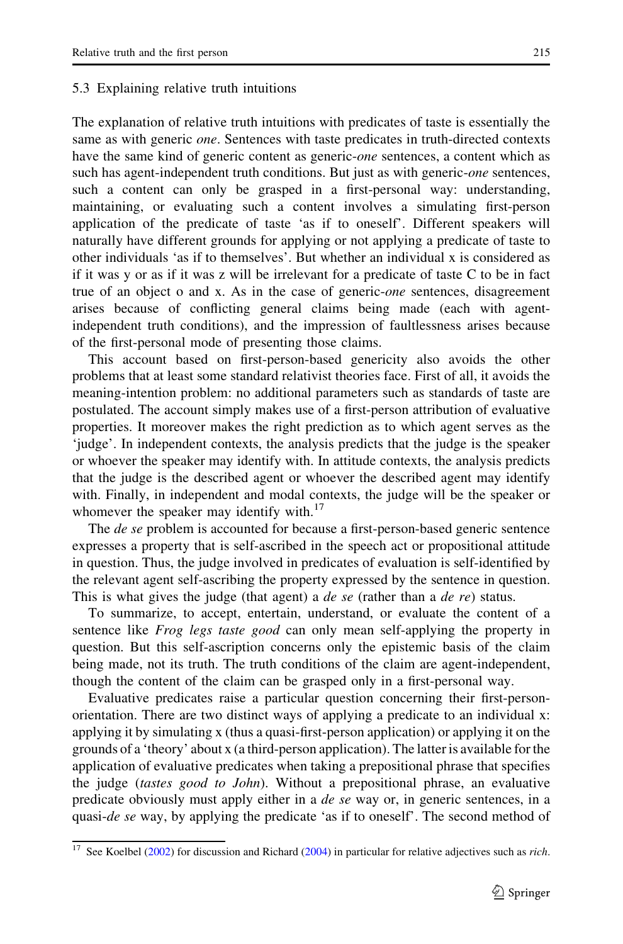#### 5.3 Explaining relative truth intuitions

The explanation of relative truth intuitions with predicates of taste is essentially the same as with generic one. Sentences with taste predicates in truth-directed contexts have the same kind of generic content as generic-*one* sentences, a content which as such has agent-independent truth conditions. But just as with generic-one sentences, such a content can only be grasped in a first-personal way: understanding, maintaining, or evaluating such a content involves a simulating first-person application of the predicate of taste 'as if to oneself'. Different speakers will naturally have different grounds for applying or not applying a predicate of taste to other individuals 'as if to themselves'. But whether an individual x is considered as if it was y or as if it was z will be irrelevant for a predicate of taste C to be in fact true of an object o and x. As in the case of generic-one sentences, disagreement arises because of conflicting general claims being made (each with agentindependent truth conditions), and the impression of faultlessness arises because of the first-personal mode of presenting those claims.

This account based on first-person-based genericity also avoids the other problems that at least some standard relativist theories face. First of all, it avoids the meaning-intention problem: no additional parameters such as standards of taste are postulated. The account simply makes use of a first-person attribution of evaluative properties. It moreover makes the right prediction as to which agent serves as the 'judge'. In independent contexts, the analysis predicts that the judge is the speaker or whoever the speaker may identify with. In attitude contexts, the analysis predicts that the judge is the described agent or whoever the described agent may identify with. Finally, in independent and modal contexts, the judge will be the speaker or whomever the speaker may identify with. $17$ 

The *de se* problem is accounted for because a first-person-based generic sentence expresses a property that is self-ascribed in the speech act or propositional attitude in question. Thus, the judge involved in predicates of evaluation is self-identified by the relevant agent self-ascribing the property expressed by the sentence in question. This is what gives the judge (that agent) a *de se* (rather than a *de re*) status.

To summarize, to accept, entertain, understand, or evaluate the content of a sentence like *Frog legs taste good* can only mean self-applying the property in question. But this self-ascription concerns only the epistemic basis of the claim being made, not its truth. The truth conditions of the claim are agent-independent, though the content of the claim can be grasped only in a first-personal way.

Evaluative predicates raise a particular question concerning their first-personorientation. There are two distinct ways of applying a predicate to an individual x: applying it by simulating x (thus a quasi-first-person application) or applying it on the grounds of a 'theory' about x (a third-person application). The latter is available for the application of evaluative predicates when taking a prepositional phrase that specifies the judge (tastes good to John). Without a prepositional phrase, an evaluative predicate obviously must apply either in a de se way or, in generic sentences, in a quasi-de se way, by applying the predicate 'as if to oneself'. The second method of

<sup>&</sup>lt;sup>17</sup> See Koelbel [\(2002](#page-32-0)) for discussion and Richard [\(2004](#page-32-0)) in particular for relative adjectives such as *rich*.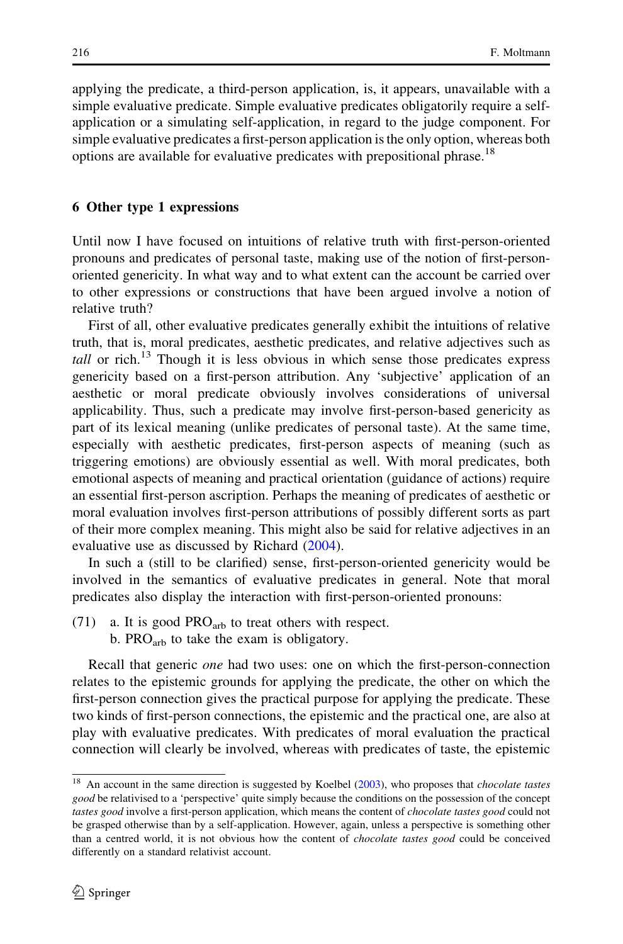applying the predicate, a third-person application, is, it appears, unavailable with a simple evaluative predicate. Simple evaluative predicates obligatorily require a selfapplication or a simulating self-application, in regard to the judge component. For simple evaluative predicates a first-person application is the only option, whereas both options are available for evaluative predicates with prepositional phrase.<sup>18</sup>

## 6 Other type 1 expressions

Until now I have focused on intuitions of relative truth with first-person-oriented pronouns and predicates of personal taste, making use of the notion of first-personoriented genericity. In what way and to what extent can the account be carried over to other expressions or constructions that have been argued involve a notion of relative truth?

First of all, other evaluative predicates generally exhibit the intuitions of relative truth, that is, moral predicates, aesthetic predicates, and relative adjectives such as  $tall$  or rich.<sup>13</sup> Though it is less obvious in which sense those predicates express genericity based on a first-person attribution. Any 'subjective' application of an aesthetic or moral predicate obviously involves considerations of universal applicability. Thus, such a predicate may involve first-person-based genericity as part of its lexical meaning (unlike predicates of personal taste). At the same time, especially with aesthetic predicates, first-person aspects of meaning (such as triggering emotions) are obviously essential as well. With moral predicates, both emotional aspects of meaning and practical orientation (guidance of actions) require an essential first-person ascription. Perhaps the meaning of predicates of aesthetic or moral evaluation involves first-person attributions of possibly different sorts as part of their more complex meaning. This might also be said for relative adjectives in an evaluative use as discussed by Richard [\(2004](#page-32-0)).

In such a (still to be clarified) sense, first-person-oriented genericity would be involved in the semantics of evaluative predicates in general. Note that moral predicates also display the interaction with first-person-oriented pronouns:

- (71) a. It is good  $PRO<sub>arb</sub>$  to treat others with respect.
	- b. PRO<sub>arb</sub> to take the exam is obligatory.

Recall that generic one had two uses: one on which the first-person-connection relates to the epistemic grounds for applying the predicate, the other on which the first-person connection gives the practical purpose for applying the predicate. These two kinds of first-person connections, the epistemic and the practical one, are also at play with evaluative predicates. With predicates of moral evaluation the practical connection will clearly be involved, whereas with predicates of taste, the epistemic

<sup>&</sup>lt;sup>18</sup> An account in the same direction is suggested by Koelbel ([2003\)](#page-32-0), who proposes that *chocolate tastes* good be relativised to a 'perspective' quite simply because the conditions on the possession of the concept tastes good involve a first-person application, which means the content of *chocolate tastes good* could not be grasped otherwise than by a self-application. However, again, unless a perspective is something other than a centred world, it is not obvious how the content of chocolate tastes good could be conceived differently on a standard relativist account.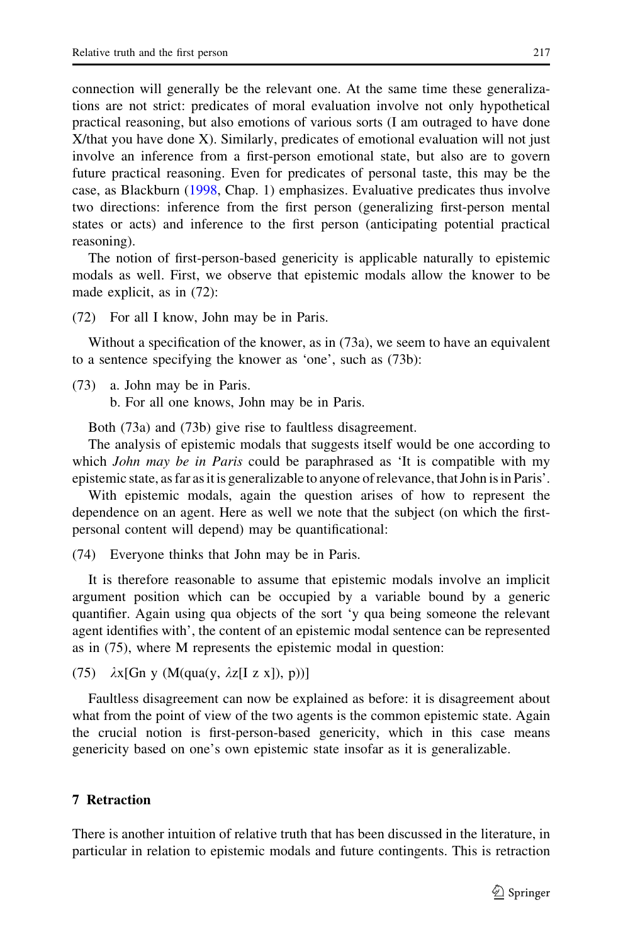connection will generally be the relevant one. At the same time these generalizations are not strict: predicates of moral evaluation involve not only hypothetical practical reasoning, but also emotions of various sorts (I am outraged to have done X/that you have done X). Similarly, predicates of emotional evaluation will not just involve an inference from a first-person emotional state, but also are to govern future practical reasoning. Even for predicates of personal taste, this may be the case, as Blackburn [\(1998](#page-32-0), Chap. 1) emphasizes. Evaluative predicates thus involve two directions: inference from the first person (generalizing first-person mental states or acts) and inference to the first person (anticipating potential practical reasoning).

The notion of first-person-based genericity is applicable naturally to epistemic modals as well. First, we observe that epistemic modals allow the knower to be made explicit, as in (72):

(72) For all I know, John may be in Paris.

Without a specification of the knower, as in (73a), we seem to have an equivalent to a sentence specifying the knower as 'one', such as (73b):

(73) a. John may be in Paris.

b. For all one knows, John may be in Paris.

Both (73a) and (73b) give rise to faultless disagreement.

The analysis of epistemic modals that suggests itself would be one according to which *John may be in Paris* could be paraphrased as 'It is compatible with my epistemic state, as far as it is generalizable to anyone of relevance, that John is in Paris'.

With epistemic modals, again the question arises of how to represent the dependence on an agent. Here as well we note that the subject (on which the firstpersonal content will depend) may be quantificational:

(74) Everyone thinks that John may be in Paris.

It is therefore reasonable to assume that epistemic modals involve an implicit argument position which can be occupied by a variable bound by a generic quantifier. Again using qua objects of the sort 'y qua being someone the relevant agent identifies with', the content of an epistemic modal sentence can be represented as in (75), where M represents the epistemic modal in question:

(75)  $\lambda x$ [Gn y (M(qua(y,  $\lambda z$ [I z x]), p))]

Faultless disagreement can now be explained as before: it is disagreement about what from the point of view of the two agents is the common epistemic state. Again the crucial notion is first-person-based genericity, which in this case means genericity based on one's own epistemic state insofar as it is generalizable.

# 7 Retraction

There is another intuition of relative truth that has been discussed in the literature, in particular in relation to epistemic modals and future contingents. This is retraction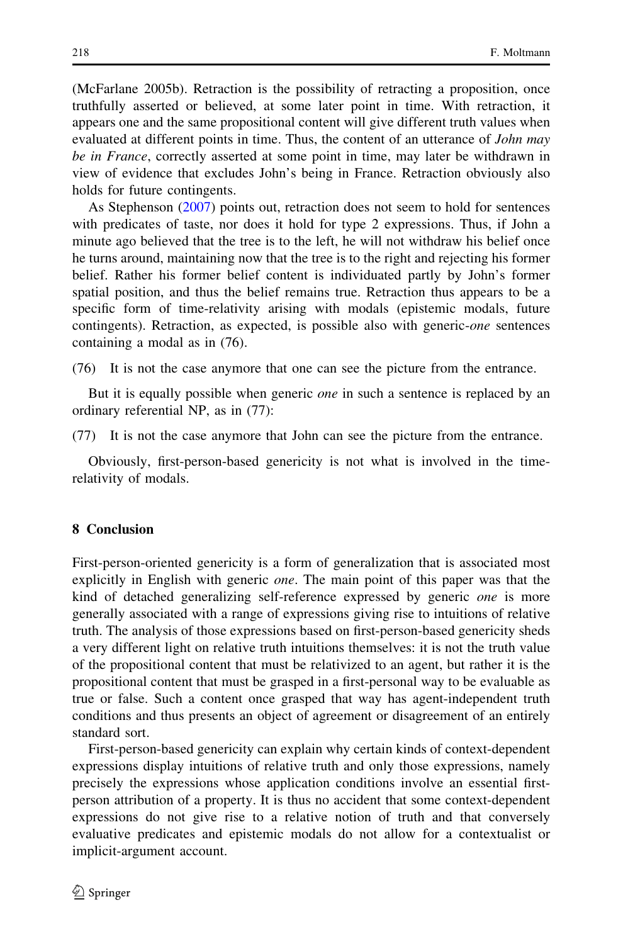(McFarlane 2005b). Retraction is the possibility of retracting a proposition, once truthfully asserted or believed, at some later point in time. With retraction, it appears one and the same propositional content will give different truth values when evaluated at different points in time. Thus, the content of an utterance of *John may* be in France, correctly asserted at some point in time, may later be withdrawn in view of evidence that excludes John's being in France. Retraction obviously also holds for future contingents.

As Stephenson ([2007\)](#page-33-0) points out, retraction does not seem to hold for sentences with predicates of taste, nor does it hold for type 2 expressions. Thus, if John a minute ago believed that the tree is to the left, he will not withdraw his belief once he turns around, maintaining now that the tree is to the right and rejecting his former belief. Rather his former belief content is individuated partly by John's former spatial position, and thus the belief remains true. Retraction thus appears to be a specific form of time-relativity arising with modals (epistemic modals, future contingents). Retraction, as expected, is possible also with generic-one sentences containing a modal as in (76).

(76) It is not the case anymore that one can see the picture from the entrance.

But it is equally possible when generic *one* in such a sentence is replaced by an ordinary referential NP, as in (77):

(77) It is not the case anymore that John can see the picture from the entrance.

Obviously, first-person-based genericity is not what is involved in the timerelativity of modals.

#### 8 Conclusion

First-person-oriented genericity is a form of generalization that is associated most explicitly in English with generic *one*. The main point of this paper was that the kind of detached generalizing self-reference expressed by generic *one* is more generally associated with a range of expressions giving rise to intuitions of relative truth. The analysis of those expressions based on first-person-based genericity sheds a very different light on relative truth intuitions themselves: it is not the truth value of the propositional content that must be relativized to an agent, but rather it is the propositional content that must be grasped in a first-personal way to be evaluable as true or false. Such a content once grasped that way has agent-independent truth conditions and thus presents an object of agreement or disagreement of an entirely standard sort.

First-person-based genericity can explain why certain kinds of context-dependent expressions display intuitions of relative truth and only those expressions, namely precisely the expressions whose application conditions involve an essential firstperson attribution of a property. It is thus no accident that some context-dependent expressions do not give rise to a relative notion of truth and that conversely evaluative predicates and epistemic modals do not allow for a contextualist or implicit-argument account.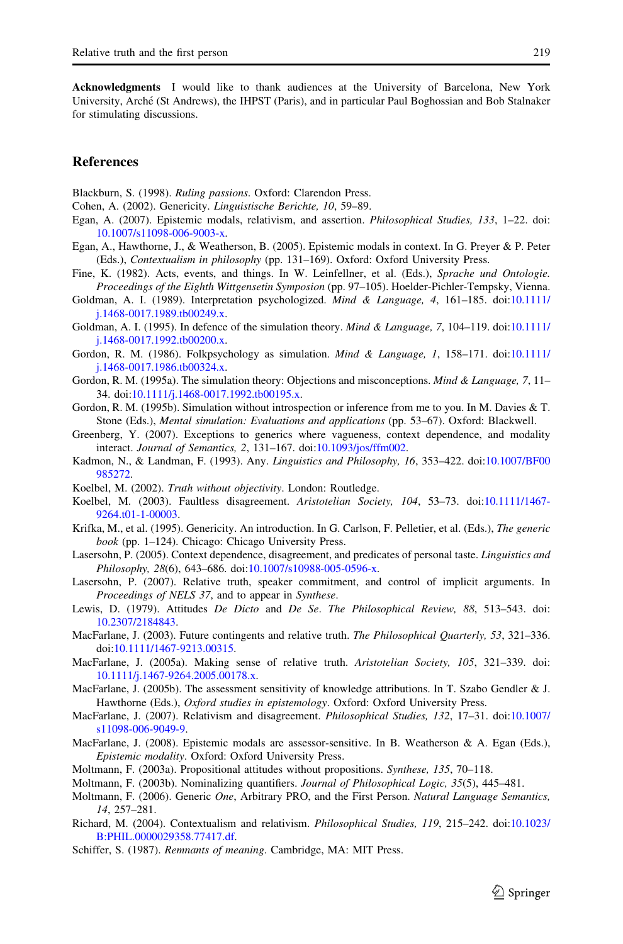<span id="page-32-0"></span>Acknowledgments I would like to thank audiences at the University of Barcelona, New York University, Arche´ (St Andrews), the IHPST (Paris), and in particular Paul Boghossian and Bob Stalnaker for stimulating discussions.

#### References

Blackburn, S. (1998). Ruling passions. Oxford: Clarendon Press.

- Cohen, A. (2002). Genericity. Linguistische Berichte, 10, 59–89.
- Egan, A. (2007). Epistemic modals, relativism, and assertion. Philosophical Studies, 133, 1–22. doi: [10.1007/s11098-006-9003-x.](http://dx.doi.org/10.1007/s11098-006-9003-x)
- Egan, A., Hawthorne, J., & Weatherson, B. (2005). Epistemic modals in context. In G. Preyer & P. Peter (Eds.), Contextualism in philosophy (pp. 131–169). Oxford: Oxford University Press.
- Fine, K. (1982). Acts, events, and things. In W. Leinfellner, et al. (Eds.), Sprache und Ontologie. Proceedings of the Eighth Wittgensetin Symposion (pp. 97–105). Hoelder-Pichler-Tempsky, Vienna.
- Goldman, A. I. (1989). Interpretation psychologized. Mind & Language, 4, 161-185. doi[:10.1111/](http://dx.doi.org/10.1111/j.1468-0017.1989.tb00249.x) [j.1468-0017.1989.tb00249.x.](http://dx.doi.org/10.1111/j.1468-0017.1989.tb00249.x)
- Goldman, A. I. (1995). In defence of the simulation theory. *Mind & Language*, 7, 104–119. doi[:10.1111/](http://dx.doi.org/10.1111/j.1468-0017.1992.tb00200.x) [j.1468-0017.1992.tb00200.x.](http://dx.doi.org/10.1111/j.1468-0017.1992.tb00200.x)
- Gordon, R. M. (1986). Folkpsychology as simulation. *Mind & Language, 1*, 158-171. doi[:10.1111/](http://dx.doi.org/10.1111/j.1468-0017.1986.tb00324.x) [j.1468-0017.1986.tb00324.x.](http://dx.doi.org/10.1111/j.1468-0017.1986.tb00324.x)
- Gordon, R. M. (1995a). The simulation theory: Objections and misconceptions. *Mind & Language*, 7, 11– 34. doi[:10.1111/j.1468-0017.1992.tb00195.x.](http://dx.doi.org/10.1111/j.1468-0017.1992.tb00195.x)
- Gordon, R. M. (1995b). Simulation without introspection or inference from me to you. In M. Davies & T. Stone (Eds.), Mental simulation: Evaluations and applications (pp. 53–67). Oxford: Blackwell.
- Greenberg, Y. (2007). Exceptions to generics where vagueness, context dependence, and modality interact. Journal of Semantics, 2, 131–167. doi[:10.1093/jos/ffm002](http://dx.doi.org/10.1093/jos/ffm002).
- Kadmon, N., & Landman, F. (1993). Any. *Linguistics and Philosophy, 16*, 353–422. doi:[10.1007/BF00](http://dx.doi.org/10.1007/BF00985272) [985272.](http://dx.doi.org/10.1007/BF00985272)
- Koelbel, M. (2002). Truth without objectivity. London: Routledge.
- Koelbel, M. (2003). Faultless disagreement. Aristotelian Society, 104, 53-73. doi:[10.1111/1467-](http://dx.doi.org/10.1111/1467-9264.t01-1-00003) [9264.t01-1-00003](http://dx.doi.org/10.1111/1467-9264.t01-1-00003).
- Krifka, M., et al. (1995). Genericity. An introduction. In G. Carlson, F. Pelletier, et al. (Eds.), The generic book (pp. 1–124). Chicago: Chicago University Press.
- Lasersohn, P. (2005). Context dependence, disagreement, and predicates of personal taste. Linguistics and Philosophy, 28(6), 643–686. doi[:10.1007/s10988-005-0596-x](http://dx.doi.org/10.1007/s10988-005-0596-x).
- Lasersohn, P. (2007). Relative truth, speaker commitment, and control of implicit arguments. In Proceedings of NELS 37, and to appear in Synthese.
- Lewis, D. (1979). Attitudes De Dicto and De Se. The Philosophical Review, 88, 513–543. doi: [10.2307/2184843.](http://dx.doi.org/10.2307/2184843)
- MacFarlane, J. (2003). Future contingents and relative truth. The Philosophical Quarterly, 53, 321–336. doi[:10.1111/1467-9213.00315.](http://dx.doi.org/10.1111/1467-9213.00315)
- MacFarlane, J. (2005a). Making sense of relative truth. Aristotelian Society, 105, 321–339. doi: [10.1111/j.1467-9264.2005.00178.x](http://dx.doi.org/10.1111/j.1467-9264.2005.00178.x).
- MacFarlane, J. (2005b). The assessment sensitivity of knowledge attributions. In T. Szabo Gendler & J. Hawthorne (Eds.), Oxford studies in epistemology. Oxford: Oxford University Press.
- MacFarlane, J. (2007). Relativism and disagreement. Philosophical Studies, 132, 17-31. doi[:10.1007/](http://dx.doi.org/10.1007/s11098-006-9049-9) [s11098-006-9049-9.](http://dx.doi.org/10.1007/s11098-006-9049-9)
- MacFarlane, J. (2008). Epistemic modals are assessor-sensitive. In B. Weatherson & A. Egan (Eds.), Epistemic modality. Oxford: Oxford University Press.
- Moltmann, F. (2003a). Propositional attitudes without propositions. Synthese, 135, 70–118.
- Moltmann, F. (2003b). Nominalizing quantifiers. Journal of Philosophical Logic, 35(5), 445–481.
- Moltmann, F. (2006). Generic One, Arbitrary PRO, and the First Person. Natural Language Semantics, 14, 257–281.
- Richard, M. (2004). Contextualism and relativism. Philosophical Studies, 119, 215–242. doi[:10.1023/](http://dx.doi.org/10.1023/B:PHIL.0000029358.77417.df) [B:PHIL.0000029358.77417.df](http://dx.doi.org/10.1023/B:PHIL.0000029358.77417.df).
- Schiffer, S. (1987). Remnants of meaning. Cambridge, MA: MIT Press.